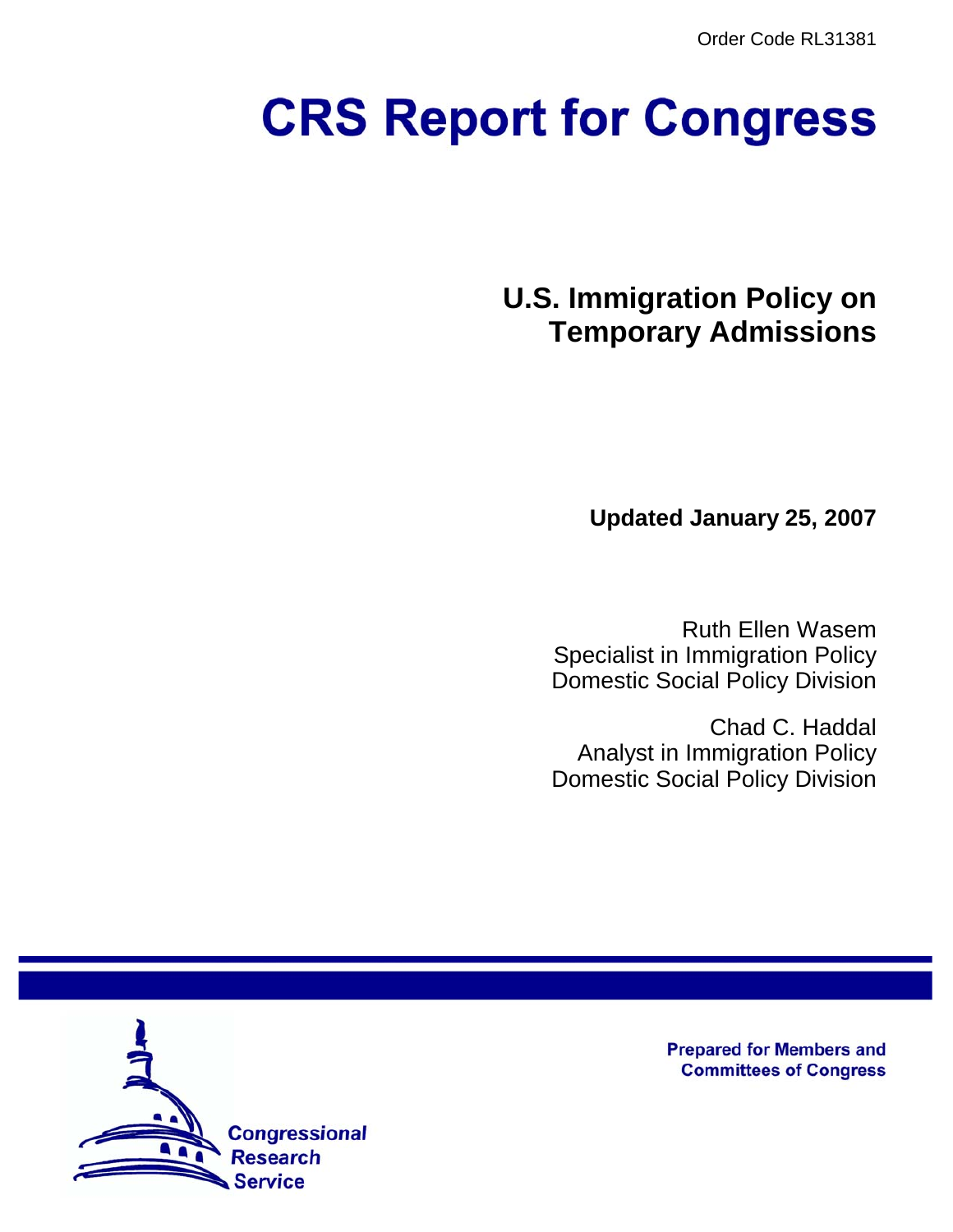Order Code RL31381

# **CRS Report for Congress**

**U.S. Immigration Policy on Temporary Admissions**

**Updated January 25, 2007**

Ruth Ellen Wasem Specialist in Immigration Policy Domestic Social Policy Division

Chad C. Haddal Analyst in Immigration Policy Domestic Social Policy Division



**Prepared for Members and Committees of Congress**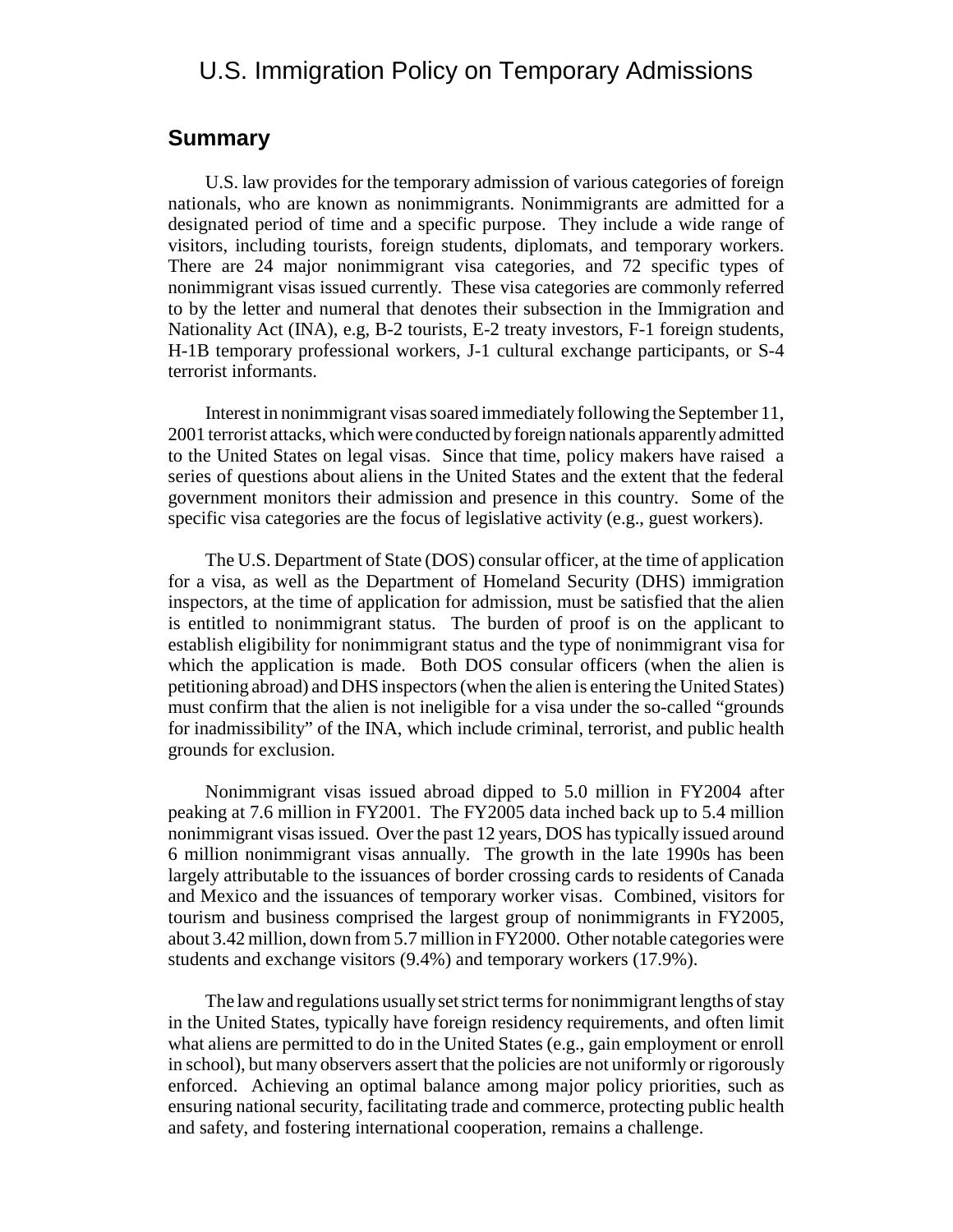## U.S. Immigration Policy on Temporary Admissions

#### **Summary**

U.S. law provides for the temporary admission of various categories of foreign nationals, who are known as nonimmigrants. Nonimmigrants are admitted for a designated period of time and a specific purpose. They include a wide range of visitors, including tourists, foreign students, diplomats, and temporary workers. There are 24 major nonimmigrant visa categories, and 72 specific types of nonimmigrant visas issued currently. These visa categories are commonly referred to by the letter and numeral that denotes their subsection in the Immigration and Nationality Act (INA), e.g, B-2 tourists, E-2 treaty investors, F-1 foreign students, H-1B temporary professional workers, J-1 cultural exchange participants, or S-4 terrorist informants.

Interest in nonimmigrant visas soared immediately following the September 11, 2001 terrorist attacks, which were conducted by foreign nationals apparently admitted to the United States on legal visas. Since that time, policy makers have raised a series of questions about aliens in the United States and the extent that the federal government monitors their admission and presence in this country. Some of the specific visa categories are the focus of legislative activity (e.g., guest workers).

The U.S. Department of State (DOS) consular officer, at the time of application for a visa, as well as the Department of Homeland Security (DHS) immigration inspectors, at the time of application for admission, must be satisfied that the alien is entitled to nonimmigrant status. The burden of proof is on the applicant to establish eligibility for nonimmigrant status and the type of nonimmigrant visa for which the application is made. Both DOS consular officers (when the alien is petitioning abroad) and DHS inspectors (when the alien is entering the United States) must confirm that the alien is not ineligible for a visa under the so-called "grounds for inadmissibility" of the INA, which include criminal, terrorist, and public health grounds for exclusion.

Nonimmigrant visas issued abroad dipped to 5.0 million in FY2004 after peaking at 7.6 million in FY2001. The FY2005 data inched back up to 5.4 million nonimmigrant visas issued. Over the past 12 years, DOS has typically issued around 6 million nonimmigrant visas annually. The growth in the late 1990s has been largely attributable to the issuances of border crossing cards to residents of Canada and Mexico and the issuances of temporary worker visas. Combined, visitors for tourism and business comprised the largest group of nonimmigrants in FY2005, about 3.42 million, down from 5.7 million in FY2000. Other notable categories were students and exchange visitors (9.4%) and temporary workers (17.9%).

The law and regulations usually set strict terms for nonimmigrant lengths of stay in the United States, typically have foreign residency requirements, and often limit what aliens are permitted to do in the United States (e.g., gain employment or enroll in school), but many observers assert that the policies are not uniformly or rigorously enforced. Achieving an optimal balance among major policy priorities, such as ensuring national security, facilitating trade and commerce, protecting public health and safety, and fostering international cooperation, remains a challenge.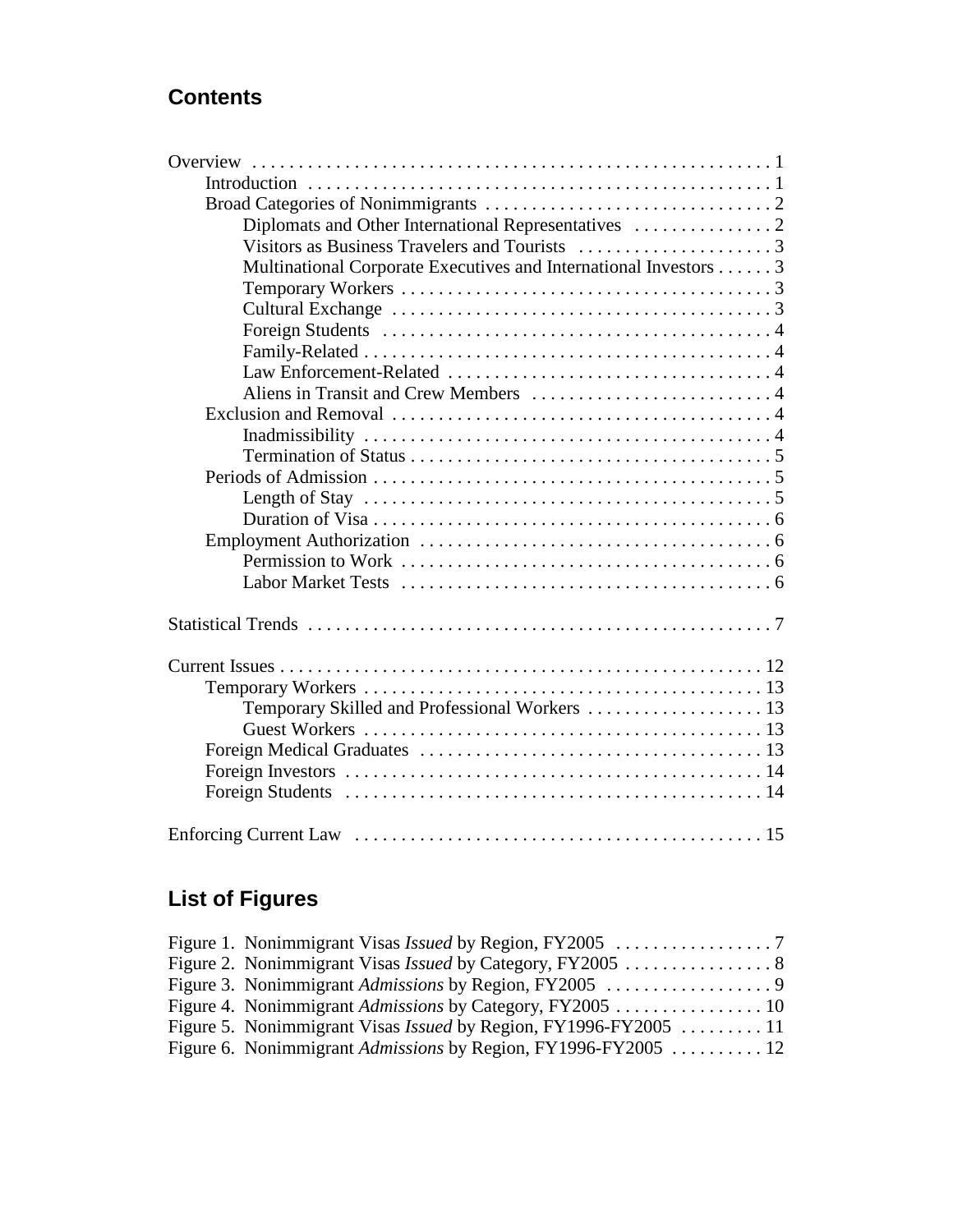## **Contents**

| Multinational Corporate Executives and International Investors 3                                     |
|------------------------------------------------------------------------------------------------------|
|                                                                                                      |
|                                                                                                      |
|                                                                                                      |
|                                                                                                      |
|                                                                                                      |
|                                                                                                      |
|                                                                                                      |
|                                                                                                      |
|                                                                                                      |
|                                                                                                      |
| Length of Stay $\dots \dots \dots \dots \dots \dots \dots \dots \dots \dots \dots \dots \dots \dots$ |
|                                                                                                      |
|                                                                                                      |
|                                                                                                      |
|                                                                                                      |
|                                                                                                      |
|                                                                                                      |
|                                                                                                      |
|                                                                                                      |
| Temporary Skilled and Professional Workers  13                                                       |
|                                                                                                      |
|                                                                                                      |
|                                                                                                      |
|                                                                                                      |
|                                                                                                      |

# **List of Figures**

| Figure 2. Nonimmigrant Visas <i>Issued</i> by Category, FY2005 8       |  |
|------------------------------------------------------------------------|--|
|                                                                        |  |
|                                                                        |  |
| Figure 5. Nonimmigrant Visas <i>Issued</i> by Region, FY1996-FY2005 11 |  |
| Figure 6. Nonimmigrant <i>Admissions</i> by Region, FY1996-FY2005 12   |  |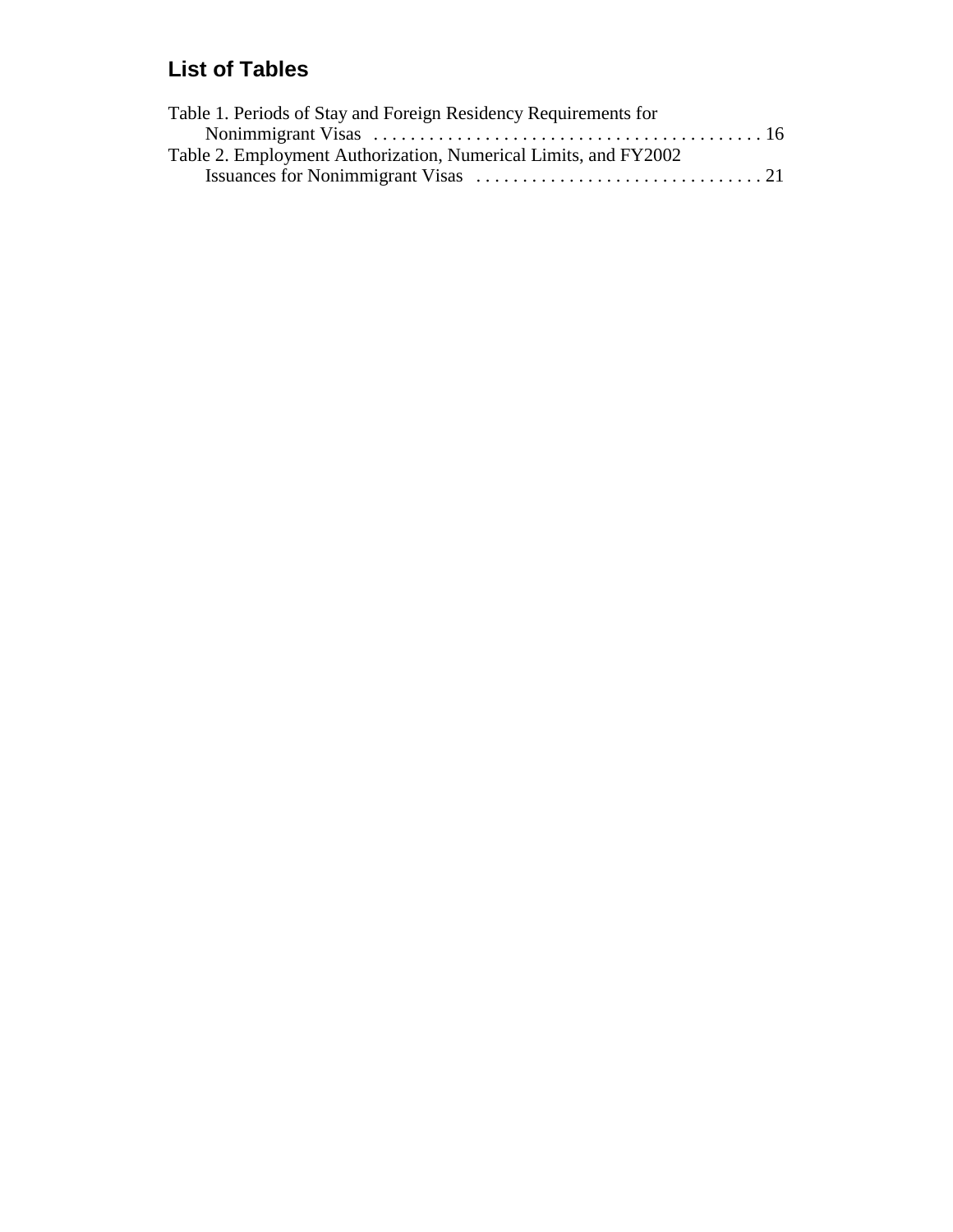## **List of Tables**

| Table 1. Periods of Stay and Foreign Residency Requirements for |  |
|-----------------------------------------------------------------|--|
|                                                                 |  |
| Table 2. Employment Authorization, Numerical Limits, and FY2002 |  |
|                                                                 |  |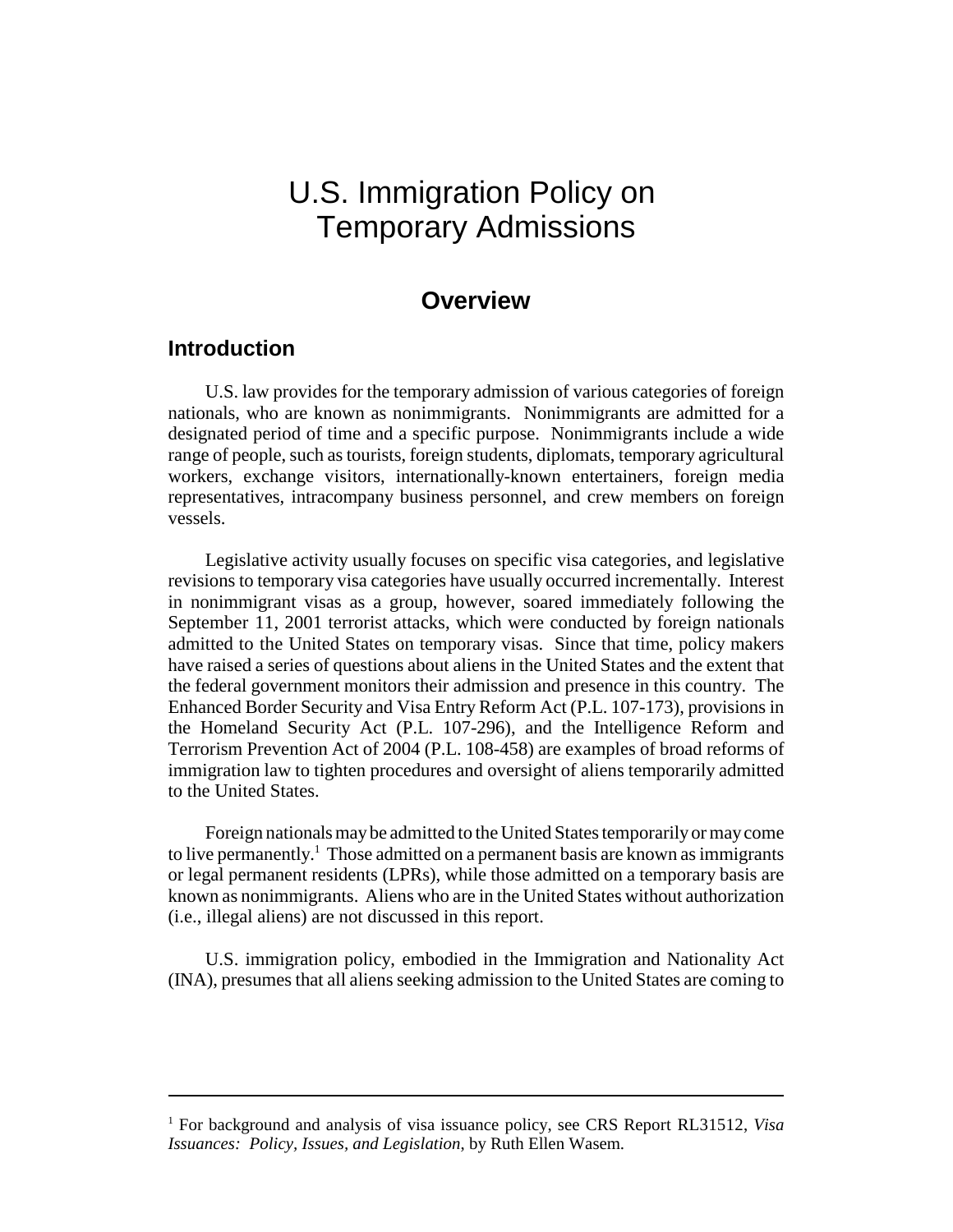# U.S. Immigration Policy on Temporary Admissions

### **Overview**

#### **Introduction**

U.S. law provides for the temporary admission of various categories of foreign nationals, who are known as nonimmigrants. Nonimmigrants are admitted for a designated period of time and a specific purpose. Nonimmigrants include a wide range of people, such as tourists, foreign students, diplomats, temporary agricultural workers, exchange visitors, internationally-known entertainers, foreign media representatives, intracompany business personnel, and crew members on foreign vessels.

Legislative activity usually focuses on specific visa categories, and legislative revisions to temporary visa categories have usually occurred incrementally. Interest in nonimmigrant visas as a group, however, soared immediately following the September 11, 2001 terrorist attacks, which were conducted by foreign nationals admitted to the United States on temporary visas. Since that time, policy makers have raised a series of questions about aliens in the United States and the extent that the federal government monitors their admission and presence in this country. The Enhanced Border Security and Visa Entry Reform Act (P.L. 107-173), provisions in the Homeland Security Act (P.L. 107-296), and the Intelligence Reform and Terrorism Prevention Act of 2004 (P.L. 108-458) are examples of broad reforms of immigration law to tighten procedures and oversight of aliens temporarily admitted to the United States.

Foreign nationals may be admitted to the United States temporarily or may come to live permanently.<sup>1</sup> Those admitted on a permanent basis are known as immigrants or legal permanent residents (LPRs), while those admitted on a temporary basis are known as nonimmigrants. Aliens who are in the United States without authorization (i.e., illegal aliens) are not discussed in this report.

U.S. immigration policy, embodied in the Immigration and Nationality Act (INA), presumes that all aliens seeking admission to the United States are coming to

<sup>&</sup>lt;sup>1</sup> For background and analysis of visa issuance policy, see CRS Report RL31512, Visa *Issuances: Policy, Issues, and Legislation*, by Ruth Ellen Wasem.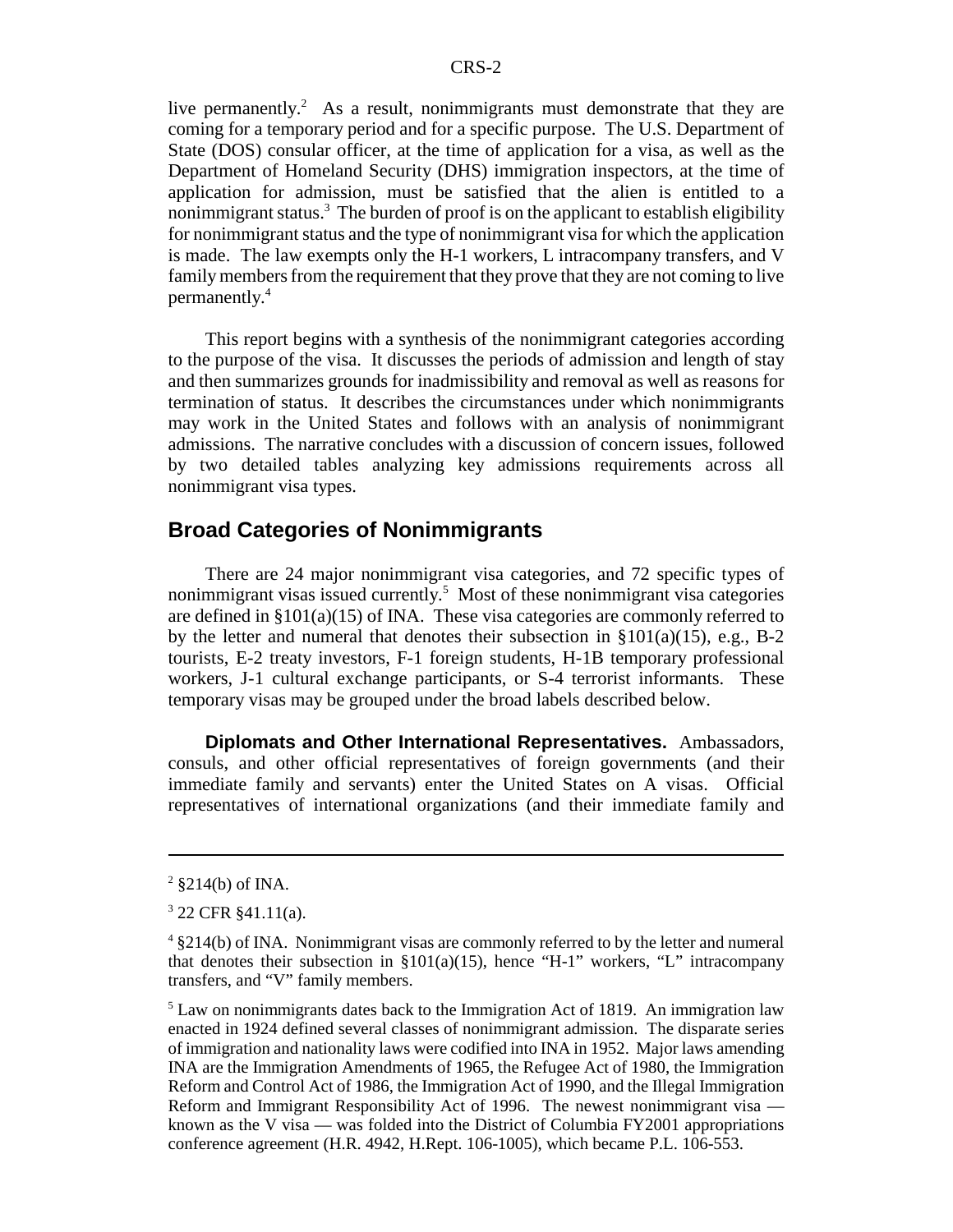live permanently.<sup>2</sup> As a result, nonimmigrants must demonstrate that they are coming for a temporary period and for a specific purpose. The U.S. Department of State (DOS) consular officer, at the time of application for a visa, as well as the Department of Homeland Security (DHS) immigration inspectors, at the time of application for admission, must be satisfied that the alien is entitled to a nonimmigrant status.<sup>3</sup> The burden of proof is on the applicant to establish eligibility for nonimmigrant status and the type of nonimmigrant visa for which the application is made. The law exempts only the H-1 workers, L intracompany transfers, and V family members from the requirement that they prove that they are not coming to live permanently.4

This report begins with a synthesis of the nonimmigrant categories according to the purpose of the visa. It discusses the periods of admission and length of stay and then summarizes grounds for inadmissibility and removal as well as reasons for termination of status. It describes the circumstances under which nonimmigrants may work in the United States and follows with an analysis of nonimmigrant admissions. The narrative concludes with a discussion of concern issues, followed by two detailed tables analyzing key admissions requirements across all nonimmigrant visa types.

#### **Broad Categories of Nonimmigrants**

There are 24 major nonimmigrant visa categories, and 72 specific types of nonimmigrant visas issued currently.<sup>5</sup> Most of these nonimmigrant visa categories are defined in §101(a)(15) of INA. These visa categories are commonly referred to by the letter and numeral that denotes their subsection in  $\S 101(a)(15)$ , e.g., B-2 tourists, E-2 treaty investors, F-1 foreign students, H-1B temporary professional workers, J-1 cultural exchange participants, or S-4 terrorist informants. These temporary visas may be grouped under the broad labels described below.

**Diplomats and Other International Representatives.** Ambassadors, consuls, and other official representatives of foreign governments (and their immediate family and servants) enter the United States on A visas. Official representatives of international organizations (and their immediate family and

 $2 \text{ } $214(b) \text{ of INA.}$ 

<sup>3</sup> 22 CFR §41.11(a).

<sup>&</sup>lt;sup>4</sup> §214(b) of INA. Nonimmigrant visas are commonly referred to by the letter and numeral that denotes their subsection in  $\S 101(a)(15)$ , hence "H-1" workers, "L" intracompany transfers, and "V" family members.

<sup>&</sup>lt;sup>5</sup> Law on nonimmigrants dates back to the Immigration Act of 1819. An immigration law enacted in 1924 defined several classes of nonimmigrant admission. The disparate series of immigration and nationality laws were codified into INA in 1952. Major laws amending INA are the Immigration Amendments of 1965, the Refugee Act of 1980, the Immigration Reform and Control Act of 1986, the Immigration Act of 1990, and the Illegal Immigration Reform and Immigrant Responsibility Act of 1996. The newest nonimmigrant visa known as the V visa — was folded into the District of Columbia FY2001 appropriations conference agreement (H.R. 4942, H.Rept. 106-1005), which became P.L. 106-553.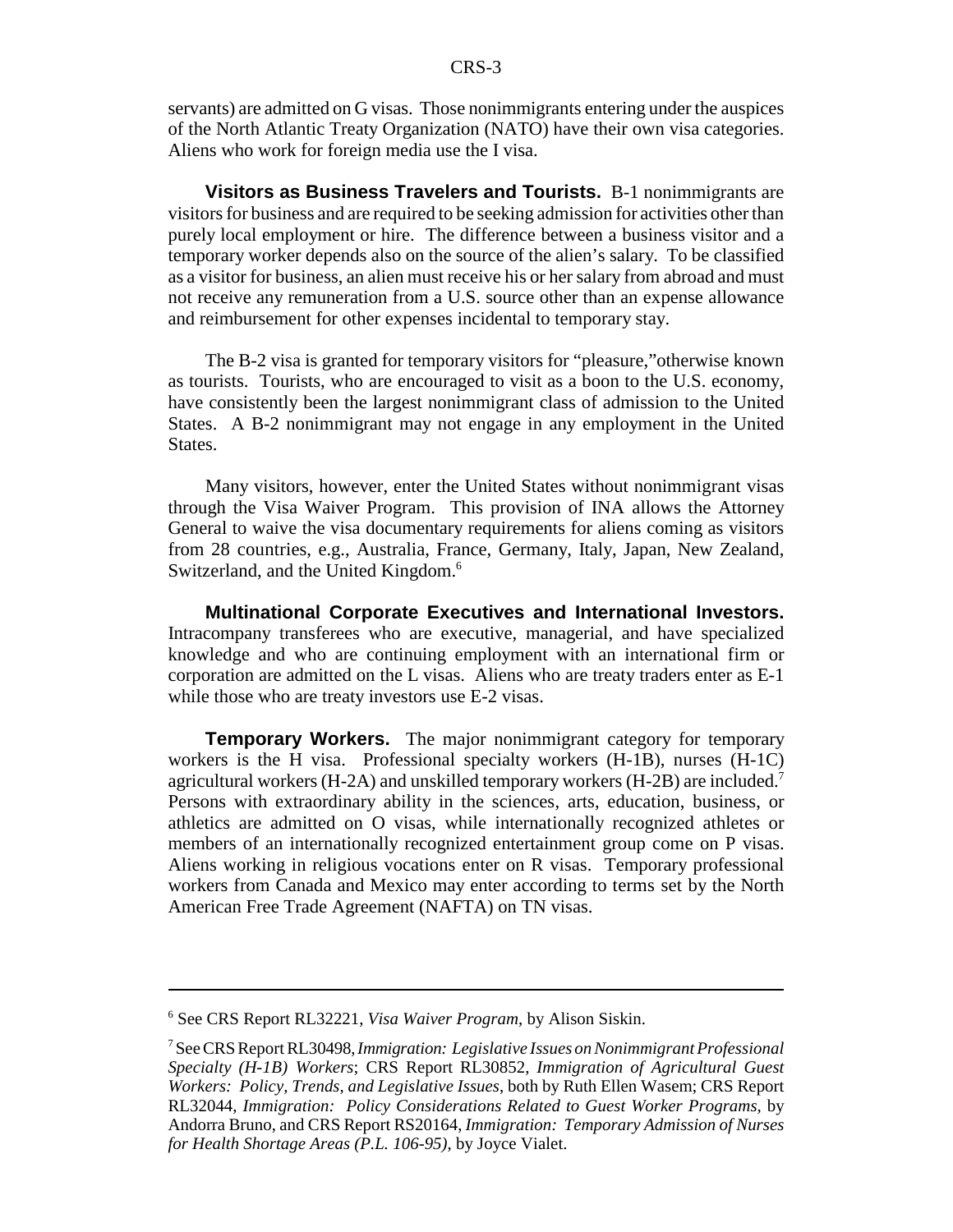servants) are admitted on G visas. Those nonimmigrants entering under the auspices of the North Atlantic Treaty Organization (NATO) have their own visa categories. Aliens who work for foreign media use the I visa.

**Visitors as Business Travelers and Tourists.** B-1 nonimmigrants are visitors for business and are required to be seeking admission for activities other than purely local employment or hire. The difference between a business visitor and a temporary worker depends also on the source of the alien's salary. To be classified as a visitor for business, an alien must receive his or her salary from abroad and must not receive any remuneration from a U.S. source other than an expense allowance and reimbursement for other expenses incidental to temporary stay.

The B-2 visa is granted for temporary visitors for "pleasure,"otherwise known as tourists. Tourists, who are encouraged to visit as a boon to the U.S. economy, have consistently been the largest nonimmigrant class of admission to the United States. A B-2 nonimmigrant may not engage in any employment in the United States.

Many visitors, however, enter the United States without nonimmigrant visas through the Visa Waiver Program. This provision of INA allows the Attorney General to waive the visa documentary requirements for aliens coming as visitors from 28 countries, e.g., Australia, France, Germany, Italy, Japan, New Zealand, Switzerland, and the United Kingdom.<sup>6</sup>

**Multinational Corporate Executives and International Investors.** Intracompany transferees who are executive, managerial, and have specialized knowledge and who are continuing employment with an international firm or corporation are admitted on the L visas. Aliens who are treaty traders enter as E-1 while those who are treaty investors use E-2 visas.

**Temporary Workers.** The major nonimmigrant category for temporary workers is the H visa. Professional specialty workers (H-1B), nurses (H-1C) agricultural workers (H-2A) and unskilled temporary workers (H-2B) are included.<sup>7</sup> Persons with extraordinary ability in the sciences, arts, education, business, or athletics are admitted on O visas, while internationally recognized athletes or members of an internationally recognized entertainment group come on P visas. Aliens working in religious vocations enter on R visas. Temporary professional workers from Canada and Mexico may enter according to terms set by the North American Free Trade Agreement (NAFTA) on TN visas.

<sup>6</sup> See CRS Report RL32221, *Visa Waiver Program*, by Alison Siskin.

<sup>7</sup> See CRS Report RL30498, *Immigration: Legislative Issues on Nonimmigrant Professional Specialty (H-1B) Workers*; CRS Report RL30852, *Immigration of Agricultural Guest Workers: Policy, Trends, and Legislative Issues*, both by Ruth Ellen Wasem; CRS Report RL32044, *Immigration: Policy Considerations Related to Guest Worker Programs,* by Andorra Bruno, and CRS Report RS20164, *Immigration: Temporary Admission of Nurses for Health Shortage Areas (P.L. 106-95)*, by Joyce Vialet.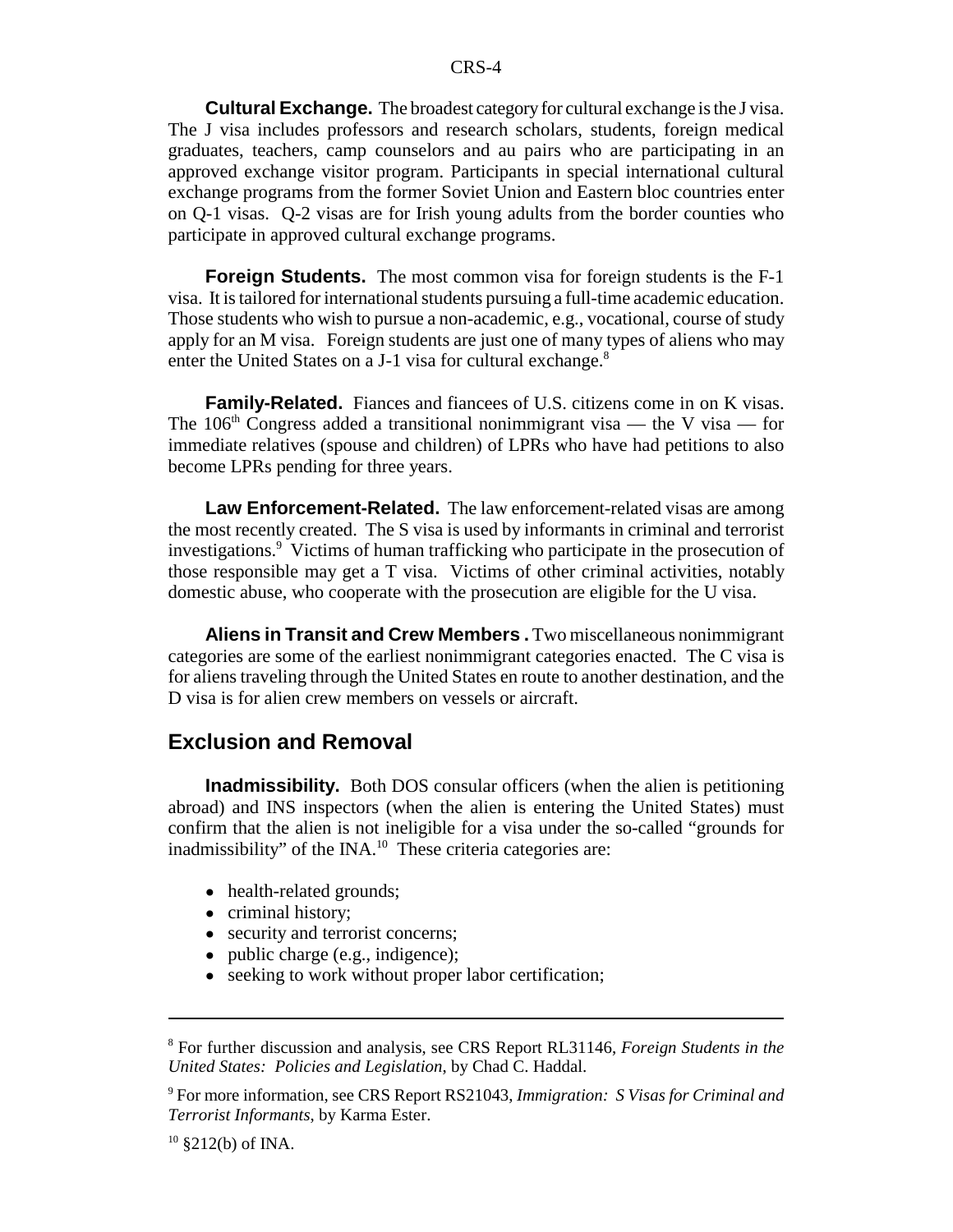**Cultural Exchange.** The broadest category for cultural exchange is the J visa. The J visa includes professors and research scholars, students, foreign medical graduates, teachers, camp counselors and au pairs who are participating in an approved exchange visitor program. Participants in special international cultural exchange programs from the former Soviet Union and Eastern bloc countries enter on Q-1 visas. Q-2 visas are for Irish young adults from the border counties who participate in approved cultural exchange programs.

**Foreign Students.** The most common visa for foreign students is the F-1 visa. It is tailored for international students pursuing a full-time academic education. Those students who wish to pursue a non-academic, e.g., vocational, course of study apply for an M visa. Foreign students are just one of many types of aliens who may enter the United States on a J-1 visa for cultural exchange.<sup>8</sup>

**Family-Related.** Fiances and fiancees of U.S. citizens come in on K visas. The 106<sup>th</sup> Congress added a transitional nonimmigrant visa — the V visa — for immediate relatives (spouse and children) of LPRs who have had petitions to also become LPRs pending for three years.

**Law Enforcement-Related.** The law enforcement-related visas are among the most recently created. The S visa is used by informants in criminal and terrorist investigations.9 Victims of human trafficking who participate in the prosecution of those responsible may get a T visa. Victims of other criminal activities, notably domestic abuse, who cooperate with the prosecution are eligible for the U visa.

**Aliens in Transit and Crew Members .** Two miscellaneous nonimmigrant categories are some of the earliest nonimmigrant categories enacted. The C visa is for aliens traveling through the United States en route to another destination, and the D visa is for alien crew members on vessels or aircraft.

#### **Exclusion and Removal**

**Inadmissibility.** Both DOS consular officers (when the alien is petitioning abroad) and INS inspectors (when the alien is entering the United States) must confirm that the alien is not ineligible for a visa under the so-called "grounds for inadmissibility" of the  $\text{INA}^{10}$  These criteria categories are:

- health-related grounds;
- criminal history;
- security and terrorist concerns;
- public charge (e.g., indigence);
- seeking to work without proper labor certification;

<sup>8</sup> For further discussion and analysis, see CRS Report RL31146, *Foreign Students in the United States: Policies and Legislation*, by Chad C. Haddal.

<sup>9</sup> For more information, see CRS Report RS21043, *Immigration: S Visas for Criminal and Terrorist Informants*, by Karma Ester.

 $10 \text{ } $212(b) \text{ of } INA.$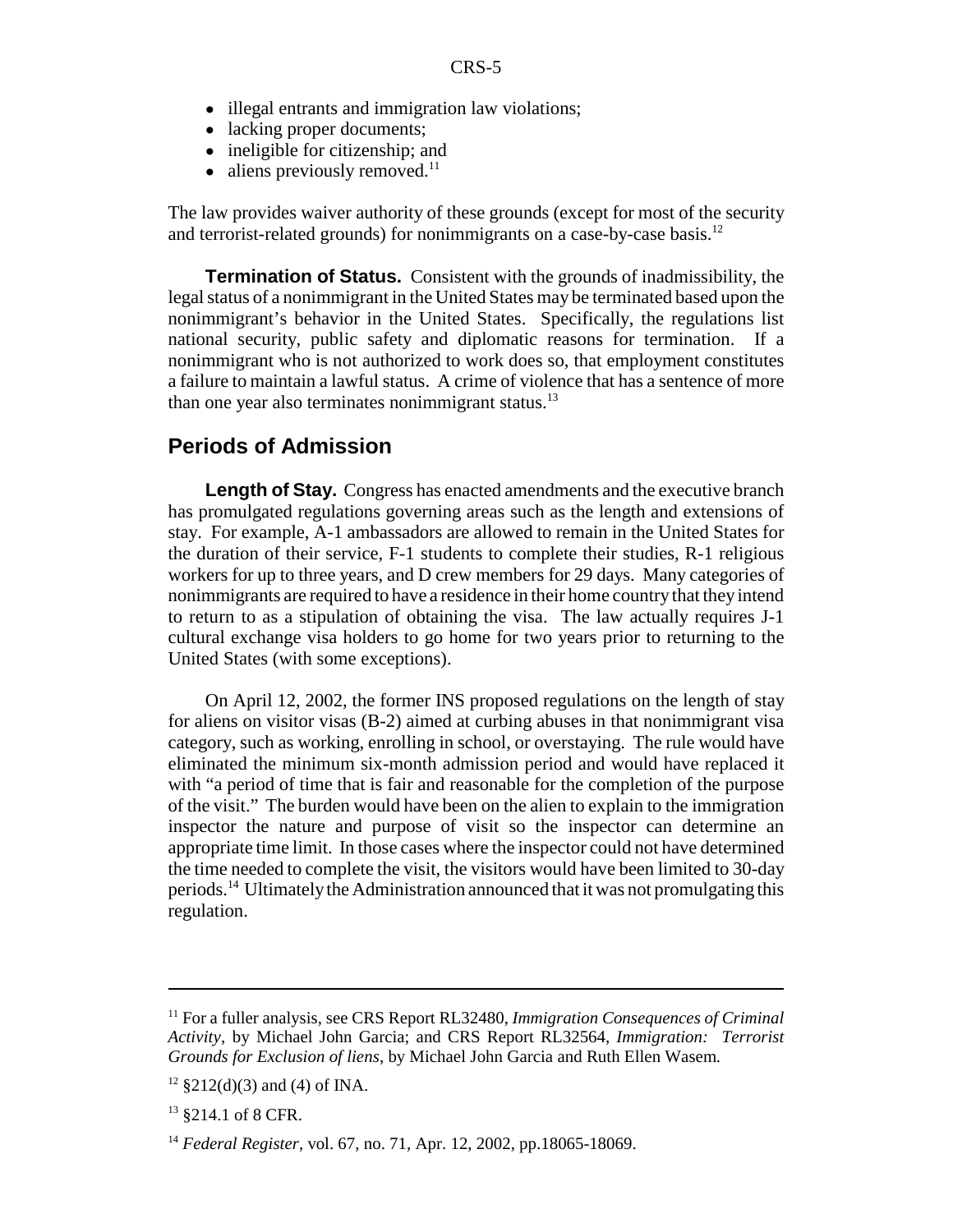- illegal entrants and immigration law violations;
- lacking proper documents;
- ineligible for citizenship; and
- $\bullet$  aliens previously removed.<sup>11</sup>

The law provides waiver authority of these grounds (except for most of the security and terrorist-related grounds) for nonimmigrants on a case-by-case basis.<sup>12</sup>

**Termination of Status.** Consistent with the grounds of inadmissibility, the legal status of a nonimmigrant in the United States may be terminated based upon the nonimmigrant's behavior in the United States. Specifically, the regulations list national security, public safety and diplomatic reasons for termination. If a nonimmigrant who is not authorized to work does so, that employment constitutes a failure to maintain a lawful status. A crime of violence that has a sentence of more than one year also terminates nonimmigrant status. $^{13}$ 

#### **Periods of Admission**

Length of Stay. Congress has enacted amendments and the executive branch has promulgated regulations governing areas such as the length and extensions of stay. For example, A-1 ambassadors are allowed to remain in the United States for the duration of their service, F-1 students to complete their studies, R-1 religious workers for up to three years, and D crew members for 29 days. Many categories of nonimmigrants are required to have a residence in their home country that they intend to return to as a stipulation of obtaining the visa. The law actually requires J-1 cultural exchange visa holders to go home for two years prior to returning to the United States (with some exceptions).

On April 12, 2002, the former INS proposed regulations on the length of stay for aliens on visitor visas (B-2) aimed at curbing abuses in that nonimmigrant visa category, such as working, enrolling in school, or overstaying. The rule would have eliminated the minimum six-month admission period and would have replaced it with "a period of time that is fair and reasonable for the completion of the purpose of the visit." The burden would have been on the alien to explain to the immigration inspector the nature and purpose of visit so the inspector can determine an appropriate time limit. In those cases where the inspector could not have determined the time needed to complete the visit, the visitors would have been limited to 30-day periods.14 Ultimately the Administration announced that it was not promulgating this regulation.

<sup>11</sup> For a fuller analysis, see CRS Report RL32480, *Immigration Consequences of Criminal Activity*, by Michael John Garcia; and CRS Report RL32564, *Immigration: Terrorist Grounds for Exclusion of liens*, by Michael John Garcia and Ruth Ellen Wasem.

 $12$  §212(d)(3) and (4) of INA.

 $13$  \$214.1 of 8 CFR.

<sup>14</sup> *Federal Register*, vol. 67, no. 71, Apr. 12, 2002, pp.18065-18069.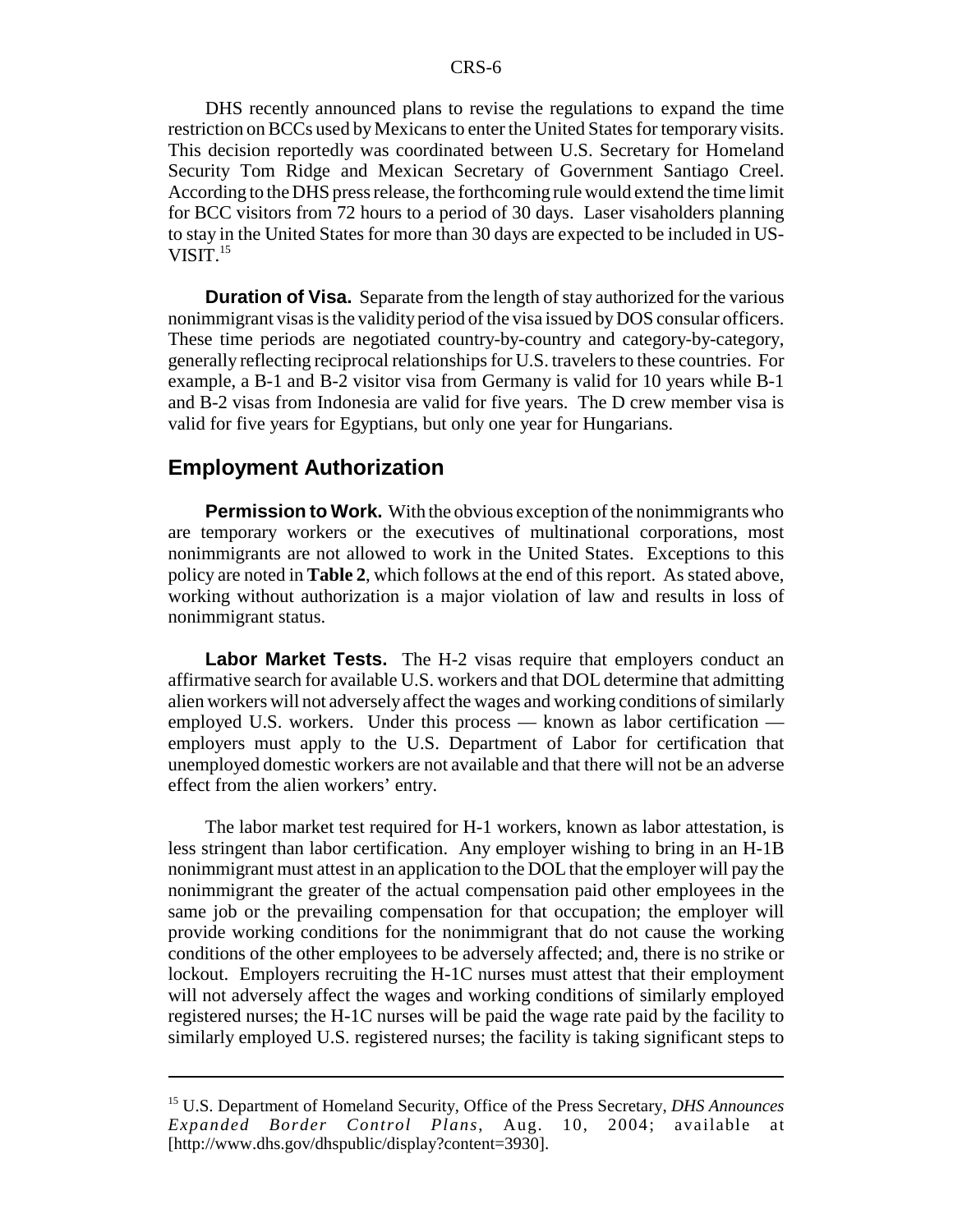DHS recently announced plans to revise the regulations to expand the time restriction on BCCs used by Mexicans to enter the United States for temporary visits. This decision reportedly was coordinated between U.S. Secretary for Homeland Security Tom Ridge and Mexican Secretary of Government Santiago Creel. According to the DHS press release, the forthcoming rule would extend the time limit for BCC visitors from 72 hours to a period of 30 days. Laser visaholders planning to stay in the United States for more than 30 days are expected to be included in US-VISIT.15

**Duration of Visa.** Separate from the length of stay authorized for the various nonimmigrant visas is the validity period of the visa issued by DOS consular officers. These time periods are negotiated country-by-country and category-by-category, generally reflecting reciprocal relationships for U.S. travelers to these countries. For example, a B-1 and B-2 visitor visa from Germany is valid for 10 years while B-1 and B-2 visas from Indonesia are valid for five years. The D crew member visa is valid for five years for Egyptians, but only one year for Hungarians.

#### **Employment Authorization**

**Permission to Work.** With the obvious exception of the nonimmigrants who are temporary workers or the executives of multinational corporations, most nonimmigrants are not allowed to work in the United States. Exceptions to this policy are noted in **Table 2**, which follows at the end of this report. As stated above, working without authorization is a major violation of law and results in loss of nonimmigrant status.

**Labor Market Tests.** The H-2 visas require that employers conduct an affirmative search for available U.S. workers and that DOL determine that admitting alien workers will not adversely affect the wages and working conditions of similarly employed U.S. workers. Under this process — known as labor certification employers must apply to the U.S. Department of Labor for certification that unemployed domestic workers are not available and that there will not be an adverse effect from the alien workers' entry.

The labor market test required for H-1 workers, known as labor attestation, is less stringent than labor certification. Any employer wishing to bring in an H-1B nonimmigrant must attest in an application to the DOL that the employer will pay the nonimmigrant the greater of the actual compensation paid other employees in the same job or the prevailing compensation for that occupation; the employer will provide working conditions for the nonimmigrant that do not cause the working conditions of the other employees to be adversely affected; and, there is no strike or lockout. Employers recruiting the H-1C nurses must attest that their employment will not adversely affect the wages and working conditions of similarly employed registered nurses; the H-1C nurses will be paid the wage rate paid by the facility to similarly employed U.S. registered nurses; the facility is taking significant steps to

<sup>15</sup> U.S. Department of Homeland Security, Office of the Press Secretary, *DHS Announces Expanded Border Control Plans*, Aug. 10, 2004; available at [http://www.dhs.gov/dhspublic/display?content=3930].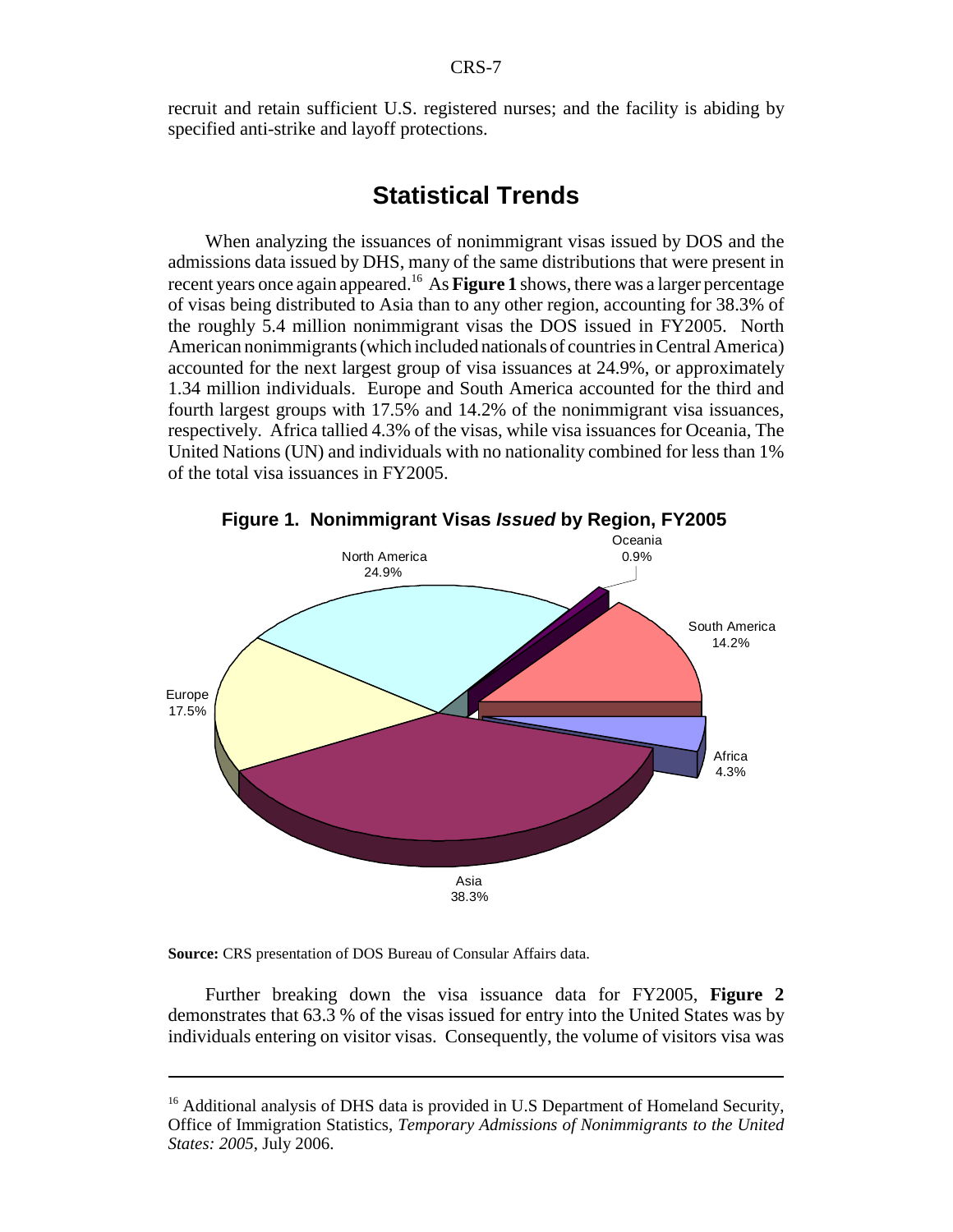recruit and retain sufficient U.S. registered nurses; and the facility is abiding by specified anti-strike and layoff protections.

#### **Statistical Trends**

When analyzing the issuances of nonimmigrant visas issued by DOS and the admissions data issued by DHS, many of the same distributions that were present in recent years once again appeared.16 As **Figure 1** shows, there was a larger percentage of visas being distributed to Asia than to any other region, accounting for 38.3% of the roughly 5.4 million nonimmigrant visas the DOS issued in FY2005. North American nonimmigrants (which included nationals of countries in Central America) accounted for the next largest group of visa issuances at 24.9%, or approximately 1.34 million individuals. Europe and South America accounted for the third and fourth largest groups with 17.5% and 14.2% of the nonimmigrant visa issuances, respectively. Africa tallied 4.3% of the visas, while visa issuances for Oceania, The United Nations (UN) and individuals with no nationality combined for less than 1% of the total visa issuances in FY2005.



**Source:** CRS presentation of DOS Bureau of Consular Affairs data.

Further breaking down the visa issuance data for FY2005, **Figure 2** demonstrates that 63.3 % of the visas issued for entry into the United States was by individuals entering on visitor visas. Consequently, the volume of visitors visa was

<sup>&</sup>lt;sup>16</sup> Additional analysis of DHS data is provided in U.S Department of Homeland Security, Office of Immigration Statistics, *Temporary Admissions of Nonimmigrants to the United States: 2005*, July 2006.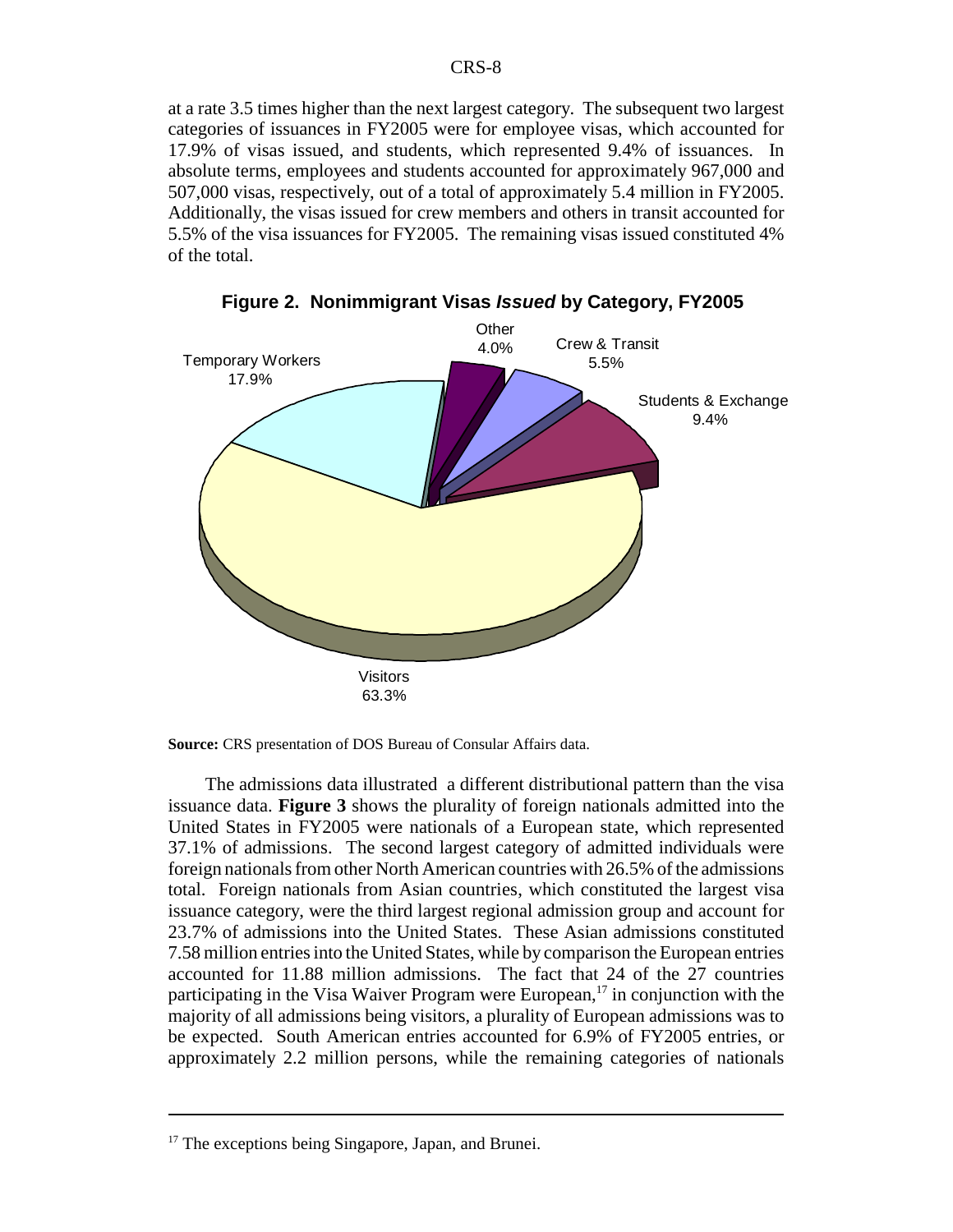at a rate 3.5 times higher than the next largest category. The subsequent two largest categories of issuances in FY2005 were for employee visas, which accounted for 17.9% of visas issued, and students, which represented 9.4% of issuances. In absolute terms, employees and students accounted for approximately 967,000 and 507,000 visas, respectively, out of a total of approximately 5.4 million in FY2005. Additionally, the visas issued for crew members and others in transit accounted for 5.5% of the visa issuances for FY2005. The remaining visas issued constituted 4% of the total.



**Figure 2. Nonimmigrant Visas** *Issued* **by Category, FY2005**

**Source:** CRS presentation of DOS Bureau of Consular Affairs data.

The admissions data illustrated a different distributional pattern than the visa issuance data. **Figure 3** shows the plurality of foreign nationals admitted into the United States in FY2005 were nationals of a European state, which represented 37.1% of admissions. The second largest category of admitted individuals were foreign nationals from other North American countries with 26.5% of the admissions total. Foreign nationals from Asian countries, which constituted the largest visa issuance category, were the third largest regional admission group and account for 23.7% of admissions into the United States. These Asian admissions constituted 7.58 million entries into the United States, while by comparison the European entries accounted for 11.88 million admissions. The fact that 24 of the 27 countries participating in the Visa Waiver Program were European,<sup>17</sup> in conjunction with the majority of all admissions being visitors, a plurality of European admissions was to be expected. South American entries accounted for 6.9% of FY2005 entries, or approximately 2.2 million persons, while the remaining categories of nationals

 $17$  The exceptions being Singapore, Japan, and Brunei.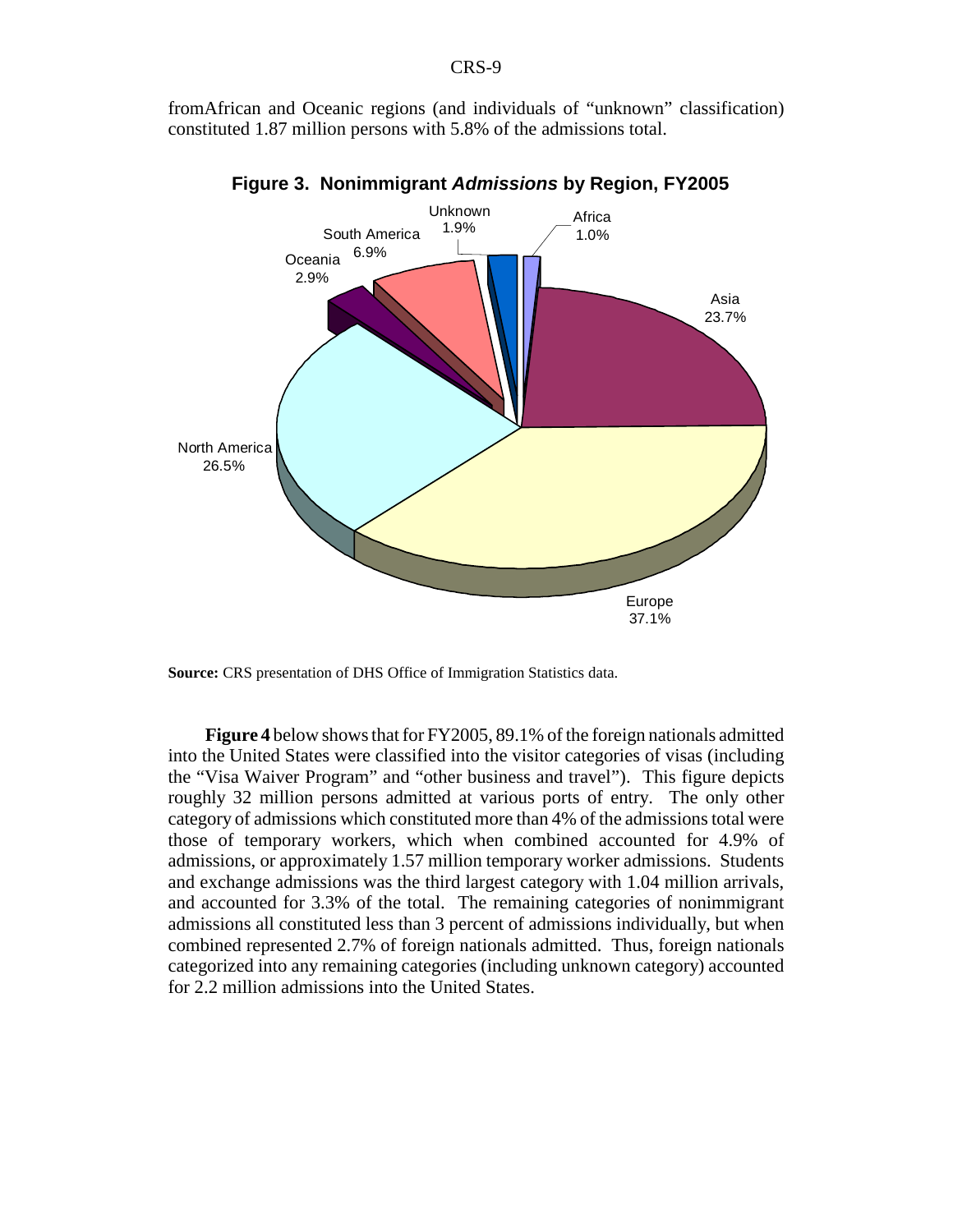fromAfrican and Oceanic regions (and individuals of "unknown" classification) constituted 1.87 million persons with 5.8% of the admissions total.



**Figure 3. Nonimmigrant** *Admissions* **by Region, FY2005**

**Figure 4** below shows that for FY2005, 89.1% of the foreign nationals admitted into the United States were classified into the visitor categories of visas (including the "Visa Waiver Program" and "other business and travel"). This figure depicts roughly 32 million persons admitted at various ports of entry. The only other category of admissions which constituted more than 4% of the admissions total were those of temporary workers, which when combined accounted for 4.9% of admissions, or approximately 1.57 million temporary worker admissions. Students and exchange admissions was the third largest category with 1.04 million arrivals, and accounted for 3.3% of the total. The remaining categories of nonimmigrant admissions all constituted less than 3 percent of admissions individually, but when combined represented 2.7% of foreign nationals admitted. Thus, foreign nationals categorized into any remaining categories (including unknown category) accounted for 2.2 million admissions into the United States.

**Source:** CRS presentation of DHS Office of Immigration Statistics data.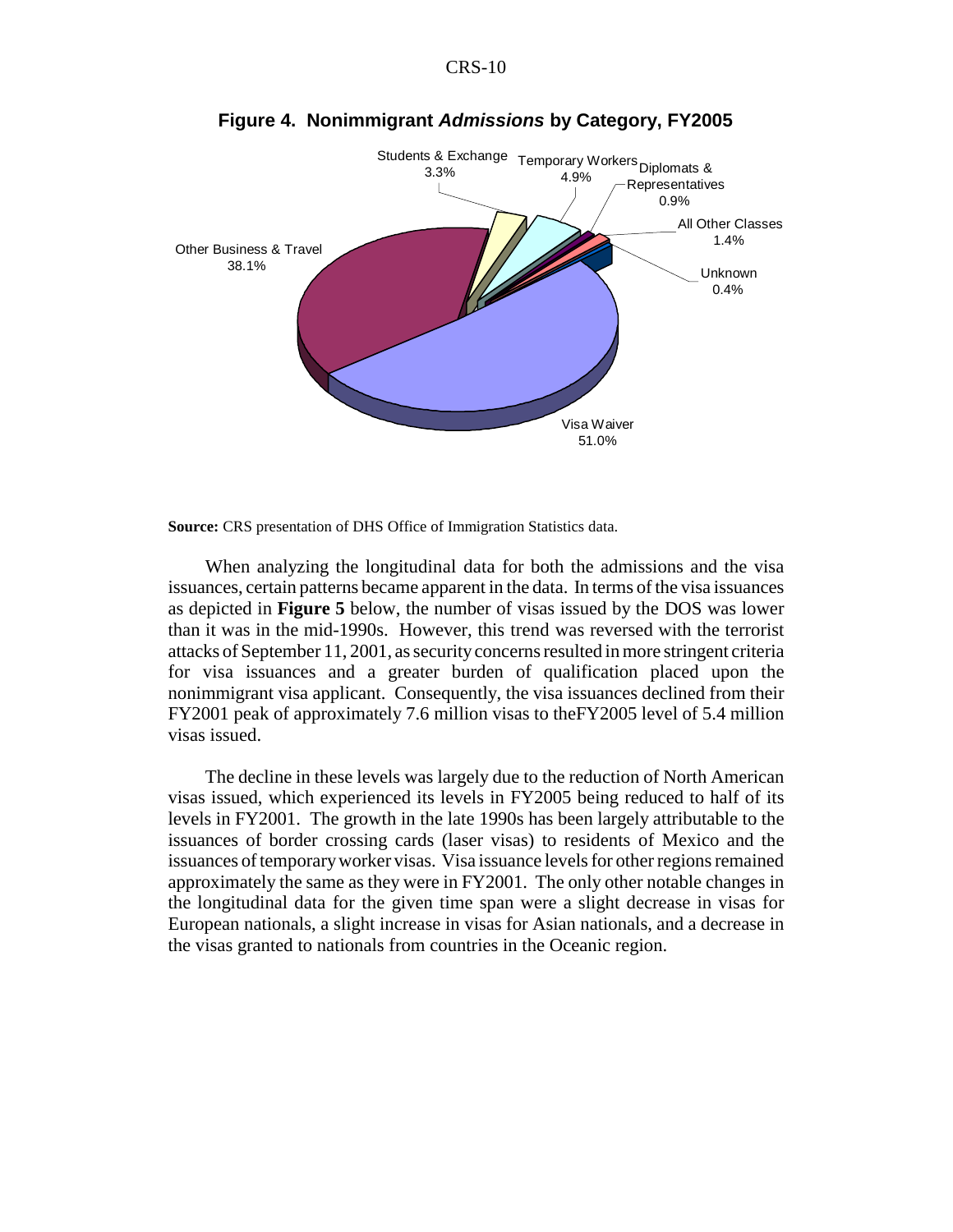

**Figure 4. Nonimmigrant** *Admissions* **by Category, FY2005**

**Source:** CRS presentation of DHS Office of Immigration Statistics data.

When analyzing the longitudinal data for both the admissions and the visa issuances, certain patterns became apparent in the data. In terms of the visa issuances as depicted in **Figure 5** below, the number of visas issued by the DOS was lower than it was in the mid-1990s. However, this trend was reversed with the terrorist attacks of September 11, 2001, as security concerns resulted in more stringent criteria for visa issuances and a greater burden of qualification placed upon the nonimmigrant visa applicant. Consequently, the visa issuances declined from their FY2001 peak of approximately 7.6 million visas to theFY2005 level of 5.4 million visas issued.

The decline in these levels was largely due to the reduction of North American visas issued, which experienced its levels in FY2005 being reduced to half of its levels in FY2001. The growth in the late 1990s has been largely attributable to the issuances of border crossing cards (laser visas) to residents of Mexico and the issuances of temporary worker visas. Visa issuance levels for other regions remained approximately the same as they were in FY2001. The only other notable changes in the longitudinal data for the given time span were a slight decrease in visas for European nationals, a slight increase in visas for Asian nationals, and a decrease in the visas granted to nationals from countries in the Oceanic region.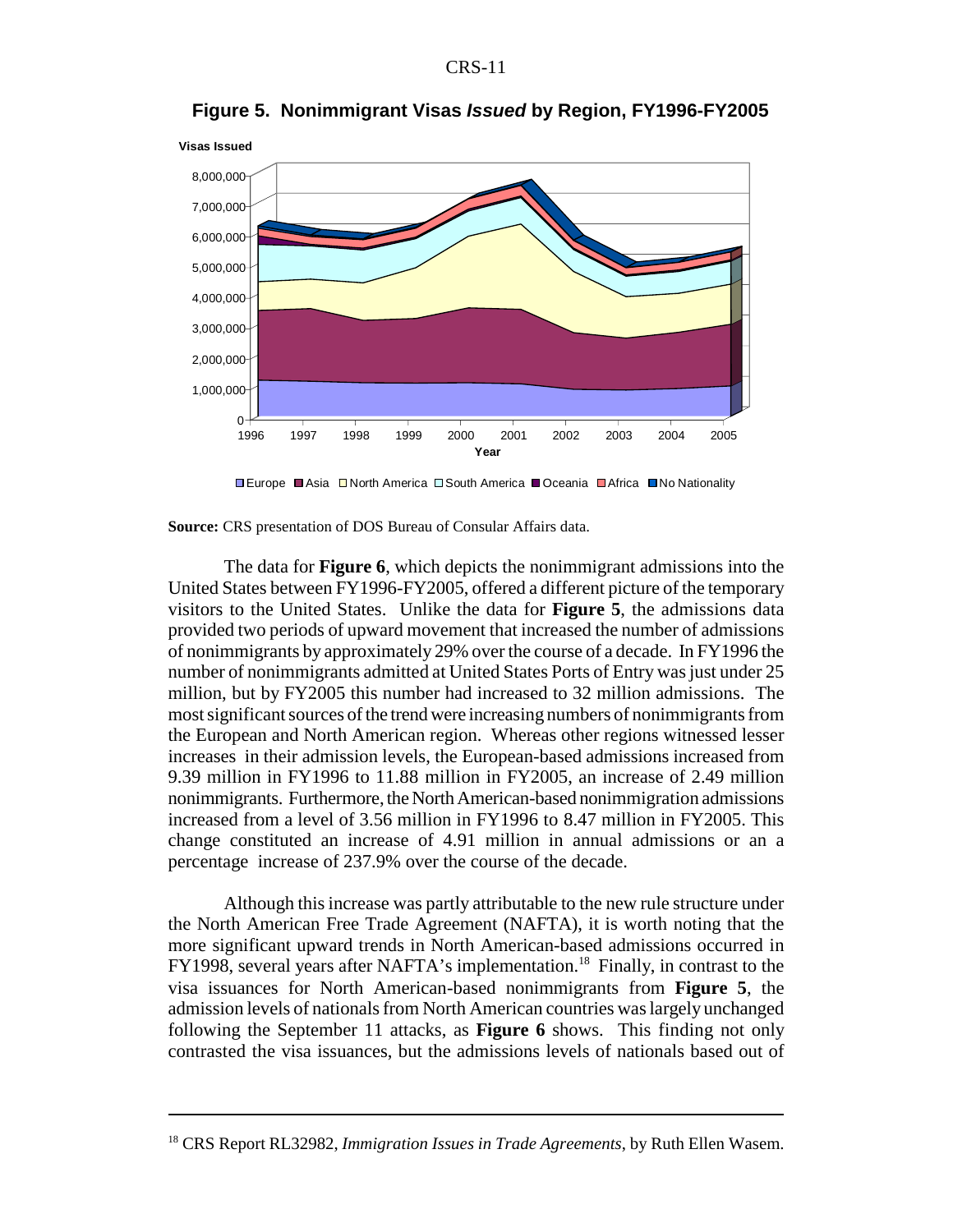

**Figure 5. Nonimmigrant Visas** *Issued* **by Region, FY1996-FY2005**

**Source:** CRS presentation of DOS Bureau of Consular Affairs data.

The data for **Figure 6**, which depicts the nonimmigrant admissions into the United States between FY1996-FY2005, offered a different picture of the temporary visitors to the United States. Unlike the data for **Figure 5**, the admissions data provided two periods of upward movement that increased the number of admissions of nonimmigrants by approximately 29% over the course of a decade. In FY1996 the number of nonimmigrants admitted at United States Ports of Entry was just under 25 million, but by FY2005 this number had increased to 32 million admissions. The most significant sources of the trend were increasing numbers of nonimmigrants from the European and North American region. Whereas other regions witnessed lesser increases in their admission levels, the European-based admissions increased from 9.39 million in FY1996 to 11.88 million in FY2005, an increase of 2.49 million nonimmigrants. Furthermore, the North American-based nonimmigration admissions increased from a level of 3.56 million in FY1996 to 8.47 million in FY2005. This change constituted an increase of 4.91 million in annual admissions or an a percentage increase of 237.9% over the course of the decade.

Although this increase was partly attributable to the new rule structure under the North American Free Trade Agreement (NAFTA), it is worth noting that the more significant upward trends in North American-based admissions occurred in FY1998, several years after NAFTA's implementation.<sup>18</sup> Finally, in contrast to the visa issuances for North American-based nonimmigrants from **Figure 5**, the admission levels of nationals from North American countries was largely unchanged following the September 11 attacks, as **Figure 6** shows. This finding not only contrasted the visa issuances, but the admissions levels of nationals based out of

**<sup>■</sup>Europe ■Asia □North America □South America ■Oceania ■Africa ■No Nationality** 

<sup>&</sup>lt;sup>18</sup> CRS Report RL32982, *Immigration Issues in Trade Agreements*, by Ruth Ellen Wasem.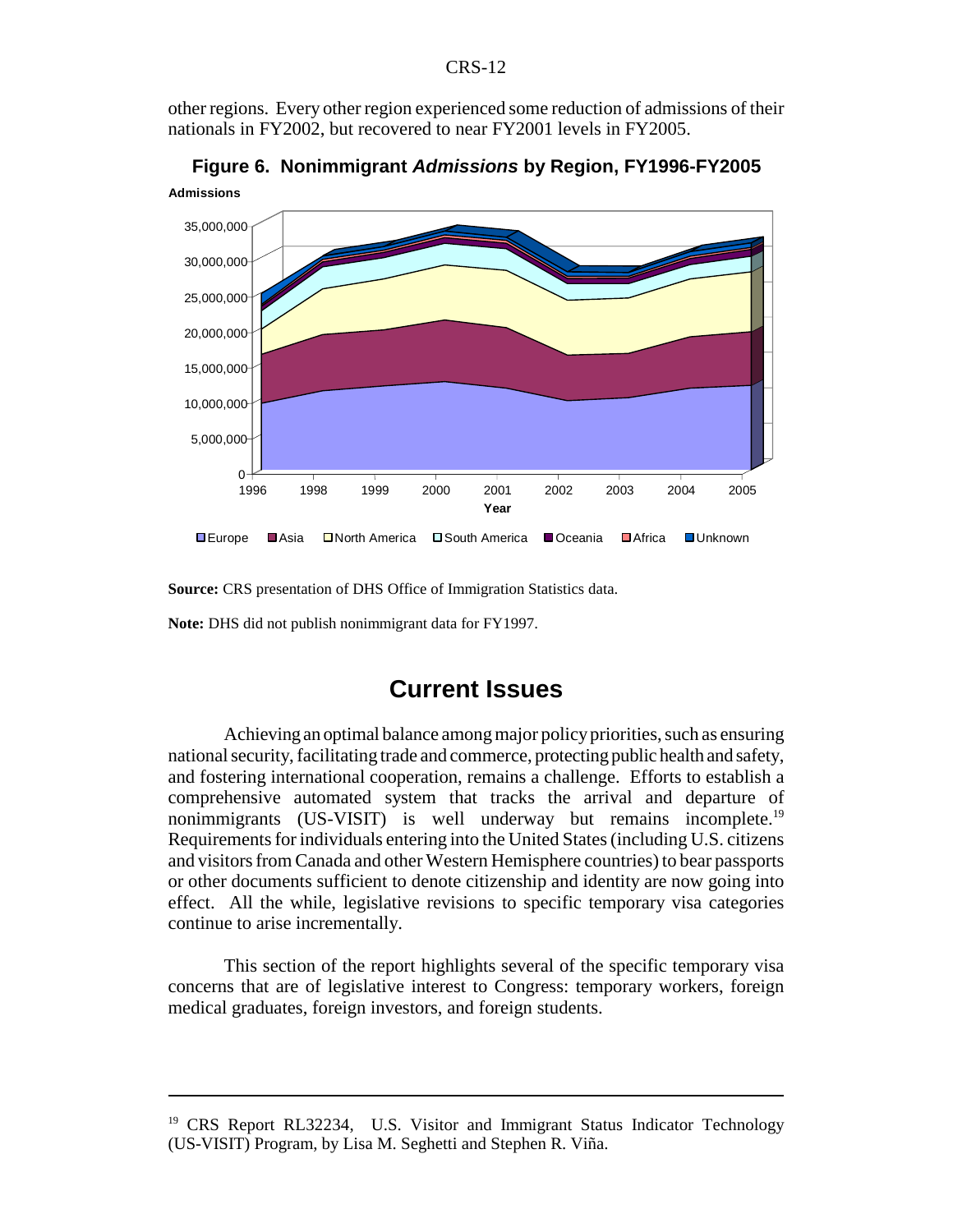#### CRS-12

other regions. Every other region experienced some reduction of admissions of their nationals in FY2002, but recovered to near FY2001 levels in FY2005.



**Admissions Figure 6. Nonimmigrant** *Admissions* **by Region, FY1996-FY2005**

**Source:** CRS presentation of DHS Office of Immigration Statistics data.

**Note:** DHS did not publish nonimmigrant data for FY1997.

## **Current Issues**

Achieving an optimal balance among major policy priorities, such as ensuring national security, facilitating trade and commerce, protecting public health and safety, and fostering international cooperation, remains a challenge. Efforts to establish a comprehensive automated system that tracks the arrival and departure of nonimmigrants (US-VISIT) is well underway but remains incomplete.<sup>19</sup> Requirements for individuals entering into the United States (including U.S. citizens and visitors from Canada and other Western Hemisphere countries) to bear passports or other documents sufficient to denote citizenship and identity are now going into effect. All the while, legislative revisions to specific temporary visa categories continue to arise incrementally.

This section of the report highlights several of the specific temporary visa concerns that are of legislative interest to Congress: temporary workers, foreign medical graduates, foreign investors, and foreign students.

<sup>&</sup>lt;sup>19</sup> CRS Report RL32234, U.S. Visitor and Immigrant Status Indicator Technology (US-VISIT) Program, by Lisa M. Seghetti and Stephen R. Viña.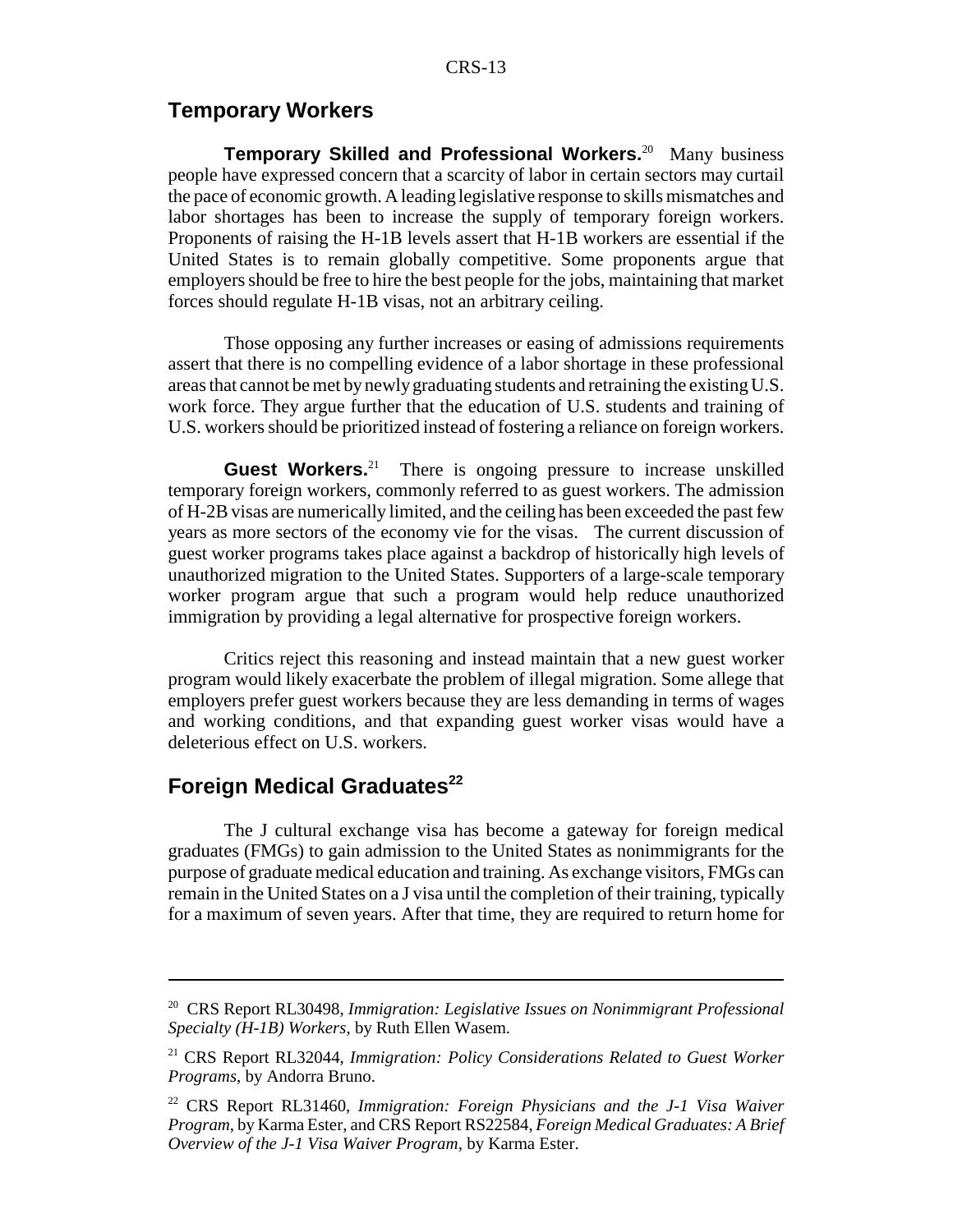#### **Temporary Workers**

**Temporary Skilled and Professional Workers.**<sup>20</sup> Many business people have expressed concern that a scarcity of labor in certain sectors may curtail the pace of economic growth. A leading legislative response to skills mismatches and labor shortages has been to increase the supply of temporary foreign workers. Proponents of raising the H-1B levels assert that H-1B workers are essential if the United States is to remain globally competitive. Some proponents argue that employers should be free to hire the best people for the jobs, maintaining that market forces should regulate H-1B visas, not an arbitrary ceiling.

Those opposing any further increases or easing of admissions requirements assert that there is no compelling evidence of a labor shortage in these professional areas that cannot be met by newly graduating students and retraining the existing U.S. work force. They argue further that the education of U.S. students and training of U.S. workers should be prioritized instead of fostering a reliance on foreign workers.

**Guest Workers.**<sup>21</sup> There is ongoing pressure to increase unskilled temporary foreign workers, commonly referred to as guest workers. The admission of H-2B visas are numerically limited, and the ceiling has been exceeded the past few years as more sectors of the economy vie for the visas. The current discussion of guest worker programs takes place against a backdrop of historically high levels of unauthorized migration to the United States. Supporters of a large-scale temporary worker program argue that such a program would help reduce unauthorized immigration by providing a legal alternative for prospective foreign workers.

Critics reject this reasoning and instead maintain that a new guest worker program would likely exacerbate the problem of illegal migration. Some allege that employers prefer guest workers because they are less demanding in terms of wages and working conditions, and that expanding guest worker visas would have a deleterious effect on U.S. workers.

#### **Foreign Medical Graduates<sup>22</sup>**

The J cultural exchange visa has become a gateway for foreign medical graduates (FMGs) to gain admission to the United States as nonimmigrants for the purpose of graduate medical education and training. As exchange visitors, FMGs can remain in the United States on a J visa until the completion of their training, typically for a maximum of seven years. After that time, they are required to return home for

<sup>20</sup> CRS Report RL30498, *Immigration: Legislative Issues on Nonimmigrant Professional Specialty (H-1B) Workers*, by Ruth Ellen Wasem.

<sup>21</sup> CRS Report RL32044, *Immigration: Policy Considerations Related to Guest Worker Programs*, by Andorra Bruno.

<sup>22</sup> CRS Report RL31460, *Immigration: Foreign Physicians and the J-1 Visa Waiver Program*, by Karma Ester, and CRS Report RS22584, *Foreign Medical Graduates: A Brief Overview of the J-1 Visa Waiver Program*, by Karma Ester.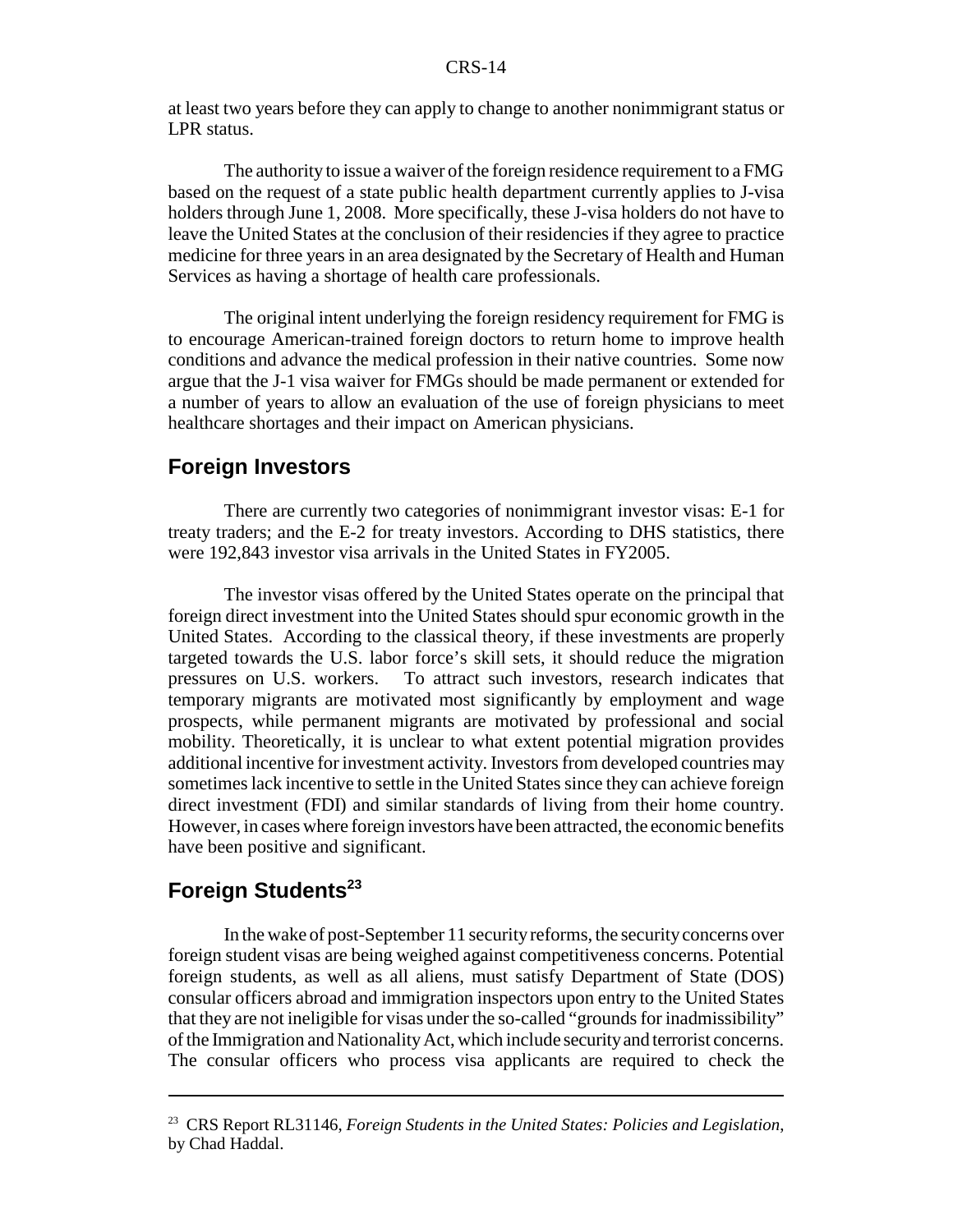at least two years before they can apply to change to another nonimmigrant status or LPR status.

The authority to issue a waiver of the foreign residence requirement to a FMG based on the request of a state public health department currently applies to J-visa holders through June 1, 2008. More specifically, these J-visa holders do not have to leave the United States at the conclusion of their residencies if they agree to practice medicine for three years in an area designated by the Secretary of Health and Human Services as having a shortage of health care professionals.

The original intent underlying the foreign residency requirement for FMG is to encourage American-trained foreign doctors to return home to improve health conditions and advance the medical profession in their native countries. Some now argue that the J-1 visa waiver for FMGs should be made permanent or extended for a number of years to allow an evaluation of the use of foreign physicians to meet healthcare shortages and their impact on American physicians.

#### **Foreign Investors**

There are currently two categories of nonimmigrant investor visas: E-1 for treaty traders; and the E-2 for treaty investors. According to DHS statistics, there were 192,843 investor visa arrivals in the United States in FY2005.

The investor visas offered by the United States operate on the principal that foreign direct investment into the United States should spur economic growth in the United States. According to the classical theory, if these investments are properly targeted towards the U.S. labor force's skill sets, it should reduce the migration pressures on U.S. workers. To attract such investors, research indicates that temporary migrants are motivated most significantly by employment and wage prospects, while permanent migrants are motivated by professional and social mobility. Theoretically, it is unclear to what extent potential migration provides additional incentive for investment activity. Investors from developed countries may sometimes lack incentive to settle in the United States since they can achieve foreign direct investment (FDI) and similar standards of living from their home country. However, in cases where foreign investors have been attracted, the economic benefits have been positive and significant.

#### **Foreign Students<sup>23</sup>**

In the wake of post-September 11 security reforms, the security concerns over foreign student visas are being weighed against competitiveness concerns. Potential foreign students, as well as all aliens, must satisfy Department of State (DOS) consular officers abroad and immigration inspectors upon entry to the United States that they are not ineligible for visas under the so-called "grounds for inadmissibility" of the Immigration and Nationality Act, which include security and terrorist concerns. The consular officers who process visa applicants are required to check the

<sup>23</sup> CRS Report RL31146, *Foreign Students in the United States: Policies and Legislation*, by Chad Haddal.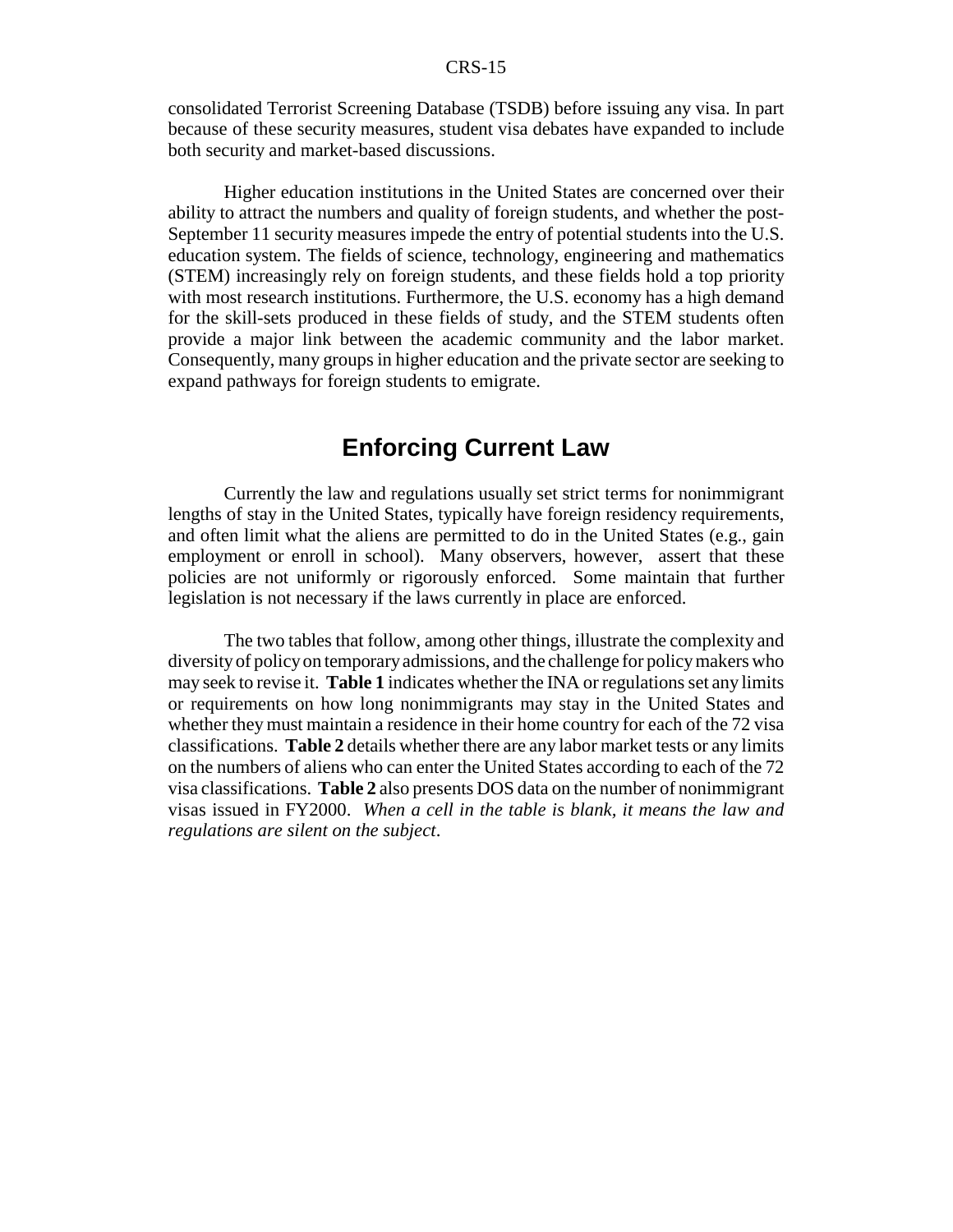consolidated Terrorist Screening Database (TSDB) before issuing any visa. In part because of these security measures, student visa debates have expanded to include both security and market-based discussions.

Higher education institutions in the United States are concerned over their ability to attract the numbers and quality of foreign students, and whether the post-September 11 security measures impede the entry of potential students into the U.S. education system. The fields of science, technology, engineering and mathematics (STEM) increasingly rely on foreign students, and these fields hold a top priority with most research institutions. Furthermore, the U.S. economy has a high demand for the skill-sets produced in these fields of study, and the STEM students often provide a major link between the academic community and the labor market. Consequently, many groups in higher education and the private sector are seeking to expand pathways for foreign students to emigrate.

## **Enforcing Current Law**

Currently the law and regulations usually set strict terms for nonimmigrant lengths of stay in the United States, typically have foreign residency requirements, and often limit what the aliens are permitted to do in the United States (e.g., gain employment or enroll in school). Many observers, however, assert that these policies are not uniformly or rigorously enforced. Some maintain that further legislation is not necessary if the laws currently in place are enforced.

The two tables that follow, among other things, illustrate the complexity and diversity of policy on temporary admissions, and the challenge for policy makers who may seek to revise it. **Table 1** indicates whether the INA or regulations set any limits or requirements on how long nonimmigrants may stay in the United States and whether they must maintain a residence in their home country for each of the 72 visa classifications. **Table 2** details whether there are any labor market tests or any limits on the numbers of aliens who can enter the United States according to each of the 72 visa classifications. **Table 2** also presents DOS data on the number of nonimmigrant visas issued in FY2000. *When a cell in the table is blank, it means the law and regulations are silent on the subject*.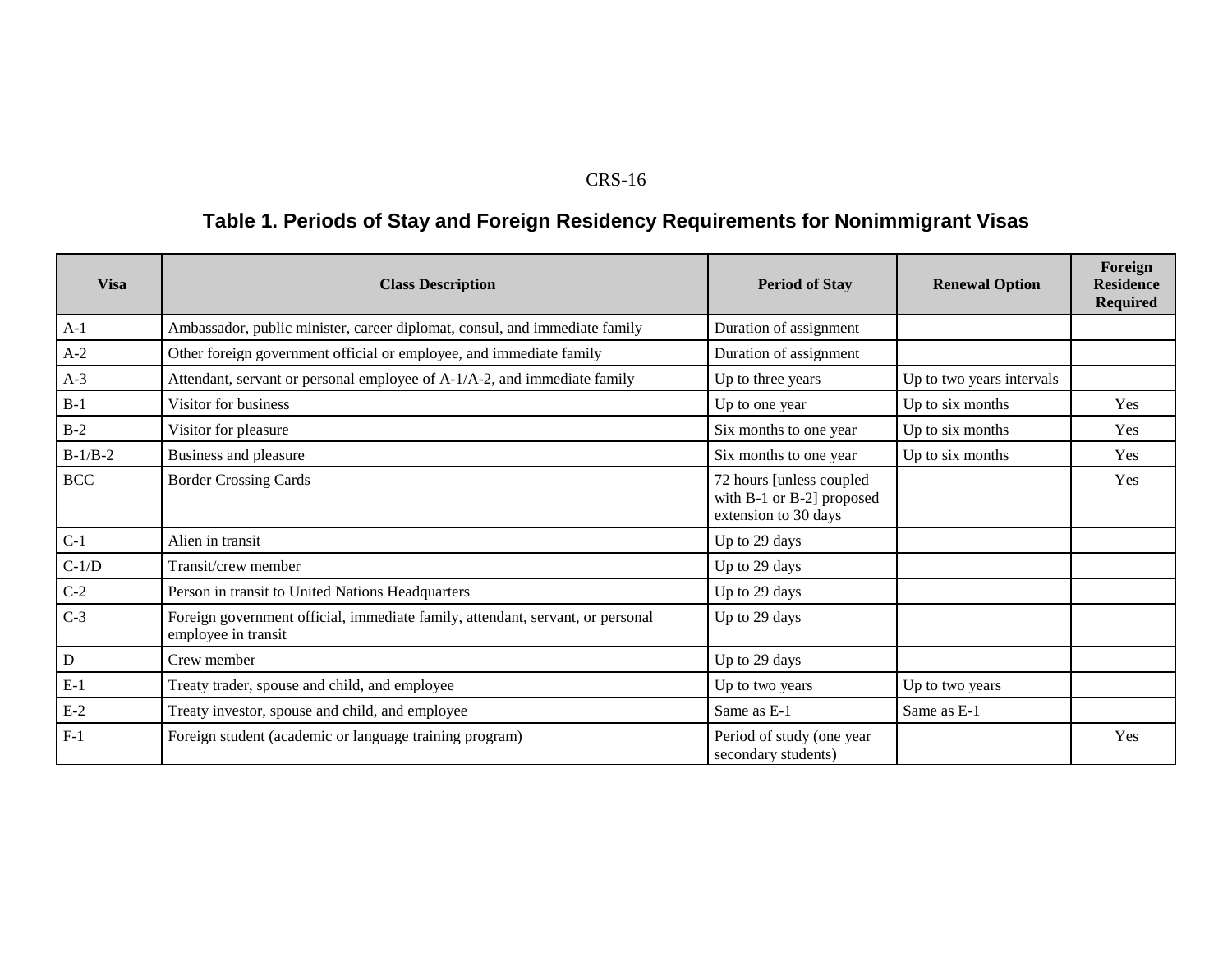#### CRS-16

## **Table 1. Periods of Stay and Foreign Residency Requirements for Nonimmigrant Visas**

| <b>Visa</b> | <b>Class Description</b>                                                                              | <b>Period of Stay</b>                                                          | <b>Renewal Option</b>     | Foreign<br><b>Residence</b><br><b>Required</b> |
|-------------|-------------------------------------------------------------------------------------------------------|--------------------------------------------------------------------------------|---------------------------|------------------------------------------------|
| $A-1$       | Ambassador, public minister, career diplomat, consul, and immediate family                            | Duration of assignment                                                         |                           |                                                |
| $A-2$       | Other foreign government official or employee, and immediate family                                   | Duration of assignment                                                         |                           |                                                |
| $A-3$       | Attendant, servant or personal employee of A-1/A-2, and immediate family                              | Up to three years                                                              | Up to two years intervals |                                                |
| $B-1$       | Visitor for business                                                                                  | Up to one year                                                                 | Up to six months          | Yes                                            |
| $B-2$       | Visitor for pleasure                                                                                  | Six months to one year                                                         | Up to six months          | Yes                                            |
| $B-1/B-2$   | Business and pleasure                                                                                 | Six months to one year                                                         | Up to six months          | Yes                                            |
| <b>BCC</b>  | <b>Border Crossing Cards</b>                                                                          | 72 hours [unless coupled]<br>with B-1 or B-2] proposed<br>extension to 30 days |                           | Yes                                            |
| $C-1$       | Alien in transit                                                                                      | Up to 29 days                                                                  |                           |                                                |
| $C-1/D$     | Transit/crew member                                                                                   | Up to 29 days                                                                  |                           |                                                |
| $C-2$       | Person in transit to United Nations Headquarters                                                      | Up to 29 days                                                                  |                           |                                                |
| $C-3$       | Foreign government official, immediate family, attendant, servant, or personal<br>employee in transit | Up to 29 days                                                                  |                           |                                                |
| $\mathbf D$ | Crew member                                                                                           | Up to 29 days                                                                  |                           |                                                |
| $E-1$       | Treaty trader, spouse and child, and employee                                                         | Up to two years                                                                | Up to two years           |                                                |
| $E-2$       | Treaty investor, spouse and child, and employee                                                       | Same as E-1                                                                    | Same as E-1               |                                                |
| $F-1$       | Foreign student (academic or language training program)                                               | Period of study (one year<br>secondary students)                               |                           | Yes                                            |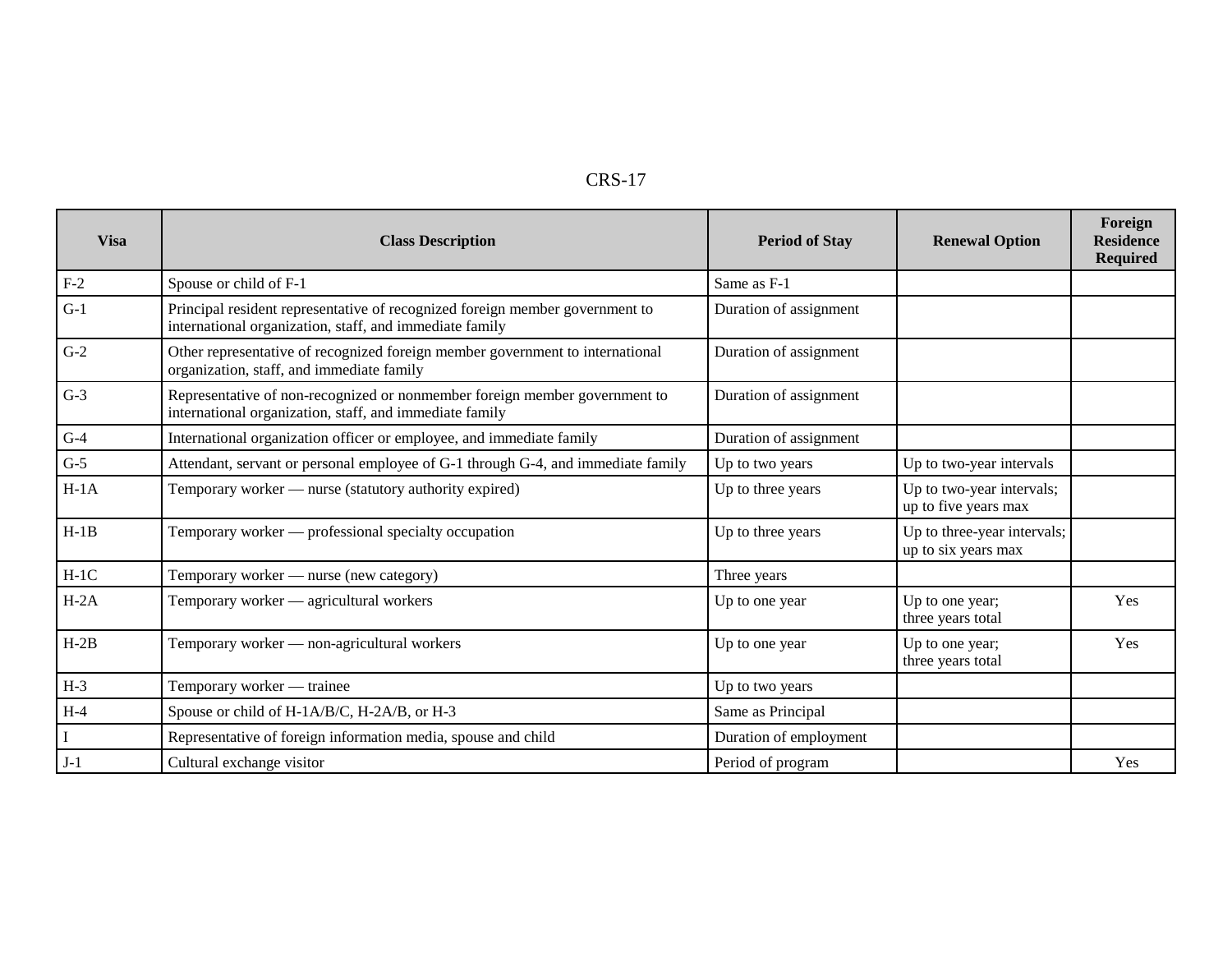|--|--|--|

| <b>Visa</b> | <b>Class Description</b>                                                                                                                | <b>Period of Stay</b>  | <b>Renewal Option</b>                              | Foreign<br><b>Residence</b><br><b>Required</b> |
|-------------|-----------------------------------------------------------------------------------------------------------------------------------------|------------------------|----------------------------------------------------|------------------------------------------------|
| $F-2$       | Spouse or child of F-1                                                                                                                  | Same as F-1            |                                                    |                                                |
| $G-1$       | Principal resident representative of recognized foreign member government to<br>international organization, staff, and immediate family | Duration of assignment |                                                    |                                                |
| $G-2$       | Other representative of recognized foreign member government to international<br>organization, staff, and immediate family              | Duration of assignment |                                                    |                                                |
| $G-3$       | Representative of non-recognized or nonmember foreign member government to<br>international organization, staff, and immediate family   | Duration of assignment |                                                    |                                                |
| $G-4$       | International organization officer or employee, and immediate family                                                                    | Duration of assignment |                                                    |                                                |
| $G-5$       | Attendant, servant or personal employee of G-1 through G-4, and immediate family                                                        | Up to two years        | Up to two-year intervals                           |                                                |
| $H-1A$      | Temporary worker — nurse (statutory authority expired)                                                                                  | Up to three years      | Up to two-year intervals;<br>up to five years max  |                                                |
| $H-1B$      | Temporary worker — professional specialty occupation                                                                                    | Up to three years      | Up to three-year intervals;<br>up to six years max |                                                |
| $H-1C$      | Temporary worker — nurse (new category)                                                                                                 | Three years            |                                                    |                                                |
| $H-2A$      | Temporary worker — agricultural workers                                                                                                 | Up to one year         | Up to one year;<br>three years total               | Yes                                            |
| $H-2B$      | Temporary worker — non-agricultural workers                                                                                             | Up to one year         | Up to one year;<br>three years total               | Yes                                            |
| $H-3$       | Temporary worker — trainee                                                                                                              | Up to two years        |                                                    |                                                |
| $H-4$       | Spouse or child of H-1A/B/C, H-2A/B, or H-3                                                                                             | Same as Principal      |                                                    |                                                |
|             | Representative of foreign information media, spouse and child                                                                           | Duration of employment |                                                    |                                                |
| $J-1$       | Cultural exchange visitor                                                                                                               | Period of program      |                                                    | Yes                                            |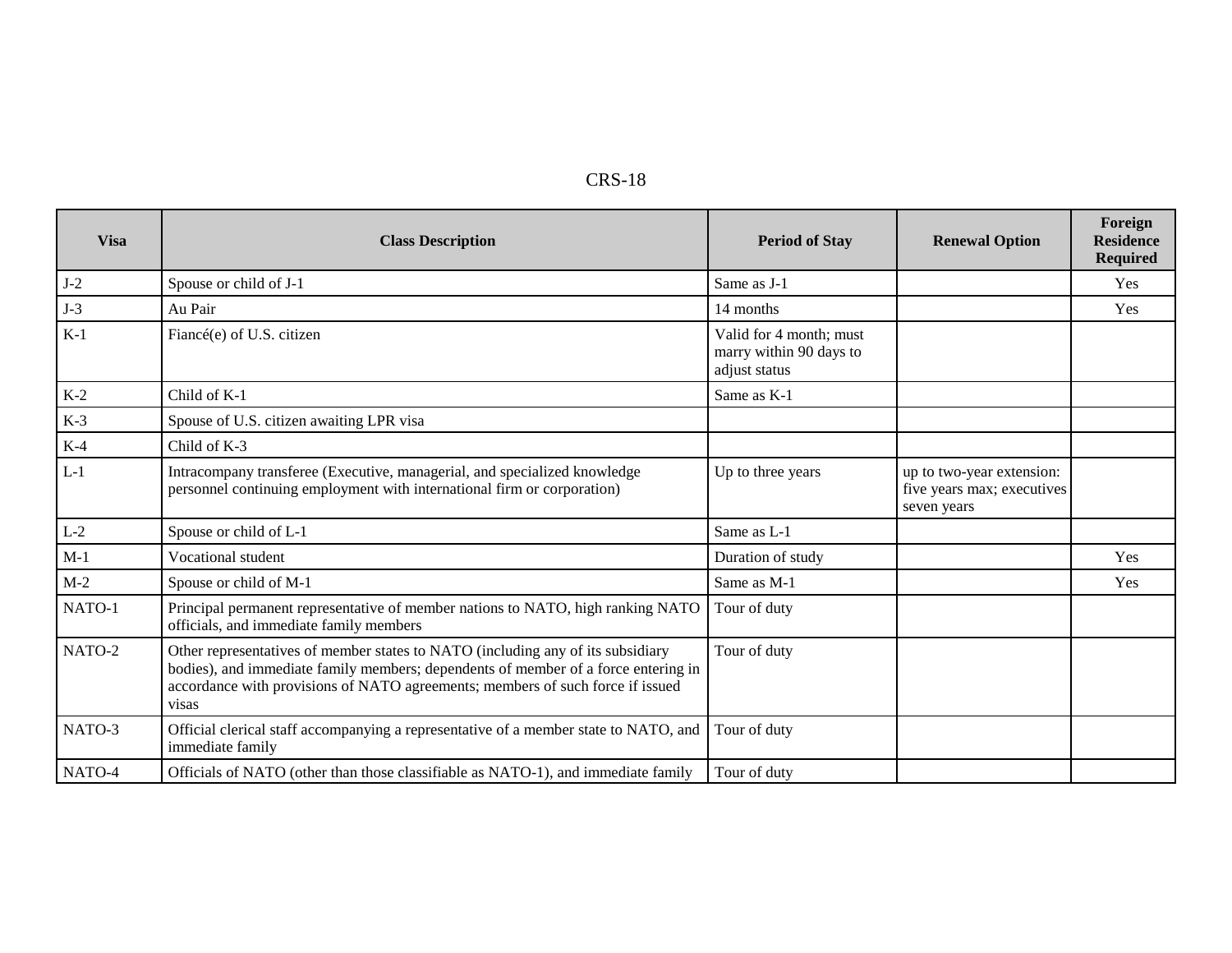| CRS- | 18 |
|------|----|
|------|----|

| <b>Visa</b> | <b>Class Description</b>                                                                                                                                                                                                                                         | <b>Period of Stay</b>                                               | <b>Renewal Option</b>                                                  | Foreign<br><b>Residence</b><br><b>Required</b> |
|-------------|------------------------------------------------------------------------------------------------------------------------------------------------------------------------------------------------------------------------------------------------------------------|---------------------------------------------------------------------|------------------------------------------------------------------------|------------------------------------------------|
| $J-2$       | Spouse or child of J-1                                                                                                                                                                                                                                           | Same as J-1                                                         |                                                                        | Yes                                            |
| $J-3$       | Au Pair                                                                                                                                                                                                                                                          | 14 months                                                           |                                                                        | Yes                                            |
| $K-1$       | Fiancé(e) of U.S. citizen                                                                                                                                                                                                                                        | Valid for 4 month; must<br>marry within 90 days to<br>adjust status |                                                                        |                                                |
| $K-2$       | Child of K-1                                                                                                                                                                                                                                                     | Same as K-1                                                         |                                                                        |                                                |
| $K-3$       | Spouse of U.S. citizen awaiting LPR visa                                                                                                                                                                                                                         |                                                                     |                                                                        |                                                |
| $K-4$       | Child of K-3                                                                                                                                                                                                                                                     |                                                                     |                                                                        |                                                |
| $L-1$       | Intracompany transferee (Executive, managerial, and specialized knowledge<br>personnel continuing employment with international firm or corporation)                                                                                                             | Up to three years                                                   | up to two-year extension:<br>five years max; executives<br>seven years |                                                |
| $L-2$       | Spouse or child of L-1                                                                                                                                                                                                                                           | Same as L-1                                                         |                                                                        |                                                |
| $M-1$       | Vocational student                                                                                                                                                                                                                                               | Duration of study                                                   |                                                                        | Yes                                            |
| $M-2$       | Spouse or child of M-1                                                                                                                                                                                                                                           | Same as M-1                                                         |                                                                        | Yes                                            |
| NATO-1      | Principal permanent representative of member nations to NATO, high ranking NATO<br>officials, and immediate family members                                                                                                                                       | Tour of duty                                                        |                                                                        |                                                |
| NATO-2      | Other representatives of member states to NATO (including any of its subsidiary<br>bodies), and immediate family members; dependents of member of a force entering in<br>accordance with provisions of NATO agreements; members of such force if issued<br>visas | Tour of duty                                                        |                                                                        |                                                |
| NATO-3      | Official clerical staff accompanying a representative of a member state to NATO, and<br>immediate family                                                                                                                                                         | Tour of duty                                                        |                                                                        |                                                |
| NATO-4      | Officials of NATO (other than those classifiable as NATO-1), and immediate family                                                                                                                                                                                | Tour of duty                                                        |                                                                        |                                                |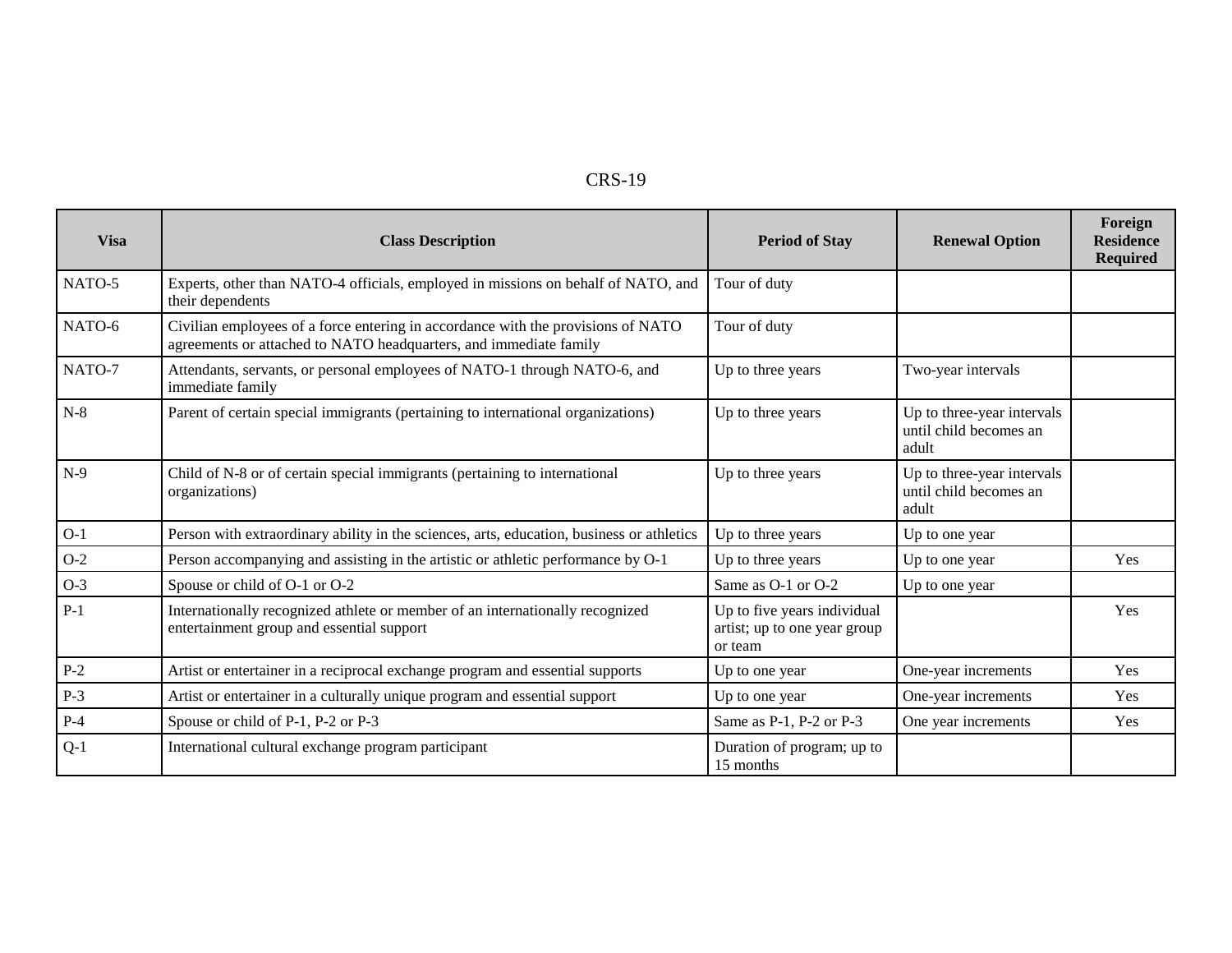| י כו<br>n<br>ς<br>AD. |  | 9 |
|-----------------------|--|---|
|-----------------------|--|---|

| <b>Visa</b> | <b>Class Description</b>                                                                                                                              | <b>Period of Stay</b>                                                  | <b>Renewal Option</b>                                         | Foreign<br><b>Residence</b><br><b>Required</b> |
|-------------|-------------------------------------------------------------------------------------------------------------------------------------------------------|------------------------------------------------------------------------|---------------------------------------------------------------|------------------------------------------------|
| NATO-5      | Experts, other than NATO-4 officials, employed in missions on behalf of NATO, and<br>their dependents                                                 | Tour of duty                                                           |                                                               |                                                |
| NATO-6      | Civilian employees of a force entering in accordance with the provisions of NATO<br>agreements or attached to NATO headquarters, and immediate family | Tour of duty                                                           |                                                               |                                                |
| NATO-7      | Attendants, servants, or personal employees of NATO-1 through NATO-6, and<br>immediate family                                                         | Up to three years                                                      | Two-year intervals                                            |                                                |
| $N-8$       | Parent of certain special immigrants (pertaining to international organizations)                                                                      | Up to three years                                                      | Up to three-year intervals<br>until child becomes an<br>adult |                                                |
| $N-9$       | Child of N-8 or of certain special immigrants (pertaining to international<br>organizations)                                                          | Up to three years                                                      | Up to three-year intervals<br>until child becomes an<br>adult |                                                |
| $O-1$       | Person with extraordinary ability in the sciences, arts, education, business or athletics                                                             | Up to three years                                                      | Up to one year                                                |                                                |
| $O-2$       | Person accompanying and assisting in the artistic or athletic performance by O-1                                                                      | Up to three years                                                      | Up to one year                                                | Yes                                            |
| $O-3$       | Spouse or child of O-1 or O-2                                                                                                                         | Same as O-1 or O-2                                                     | Up to one year                                                |                                                |
| $P-1$       | Internationally recognized athlete or member of an internationally recognized<br>entertainment group and essential support                            | Up to five years individual<br>artist; up to one year group<br>or team |                                                               | Yes                                            |
| $P-2$       | Artist or entertainer in a reciprocal exchange program and essential supports                                                                         | Up to one year                                                         | One-year increments                                           | Yes                                            |
| $P-3$       | Artist or entertainer in a culturally unique program and essential support                                                                            | Up to one year                                                         | One-year increments                                           | Yes                                            |
| $P-4$       | Spouse or child of P-1, P-2 or P-3                                                                                                                    | Same as P-1, P-2 or P-3                                                | One year increments                                           | Yes                                            |
| $Q-1$       | International cultural exchange program participant                                                                                                   | Duration of program; up to<br>15 months                                |                                                               |                                                |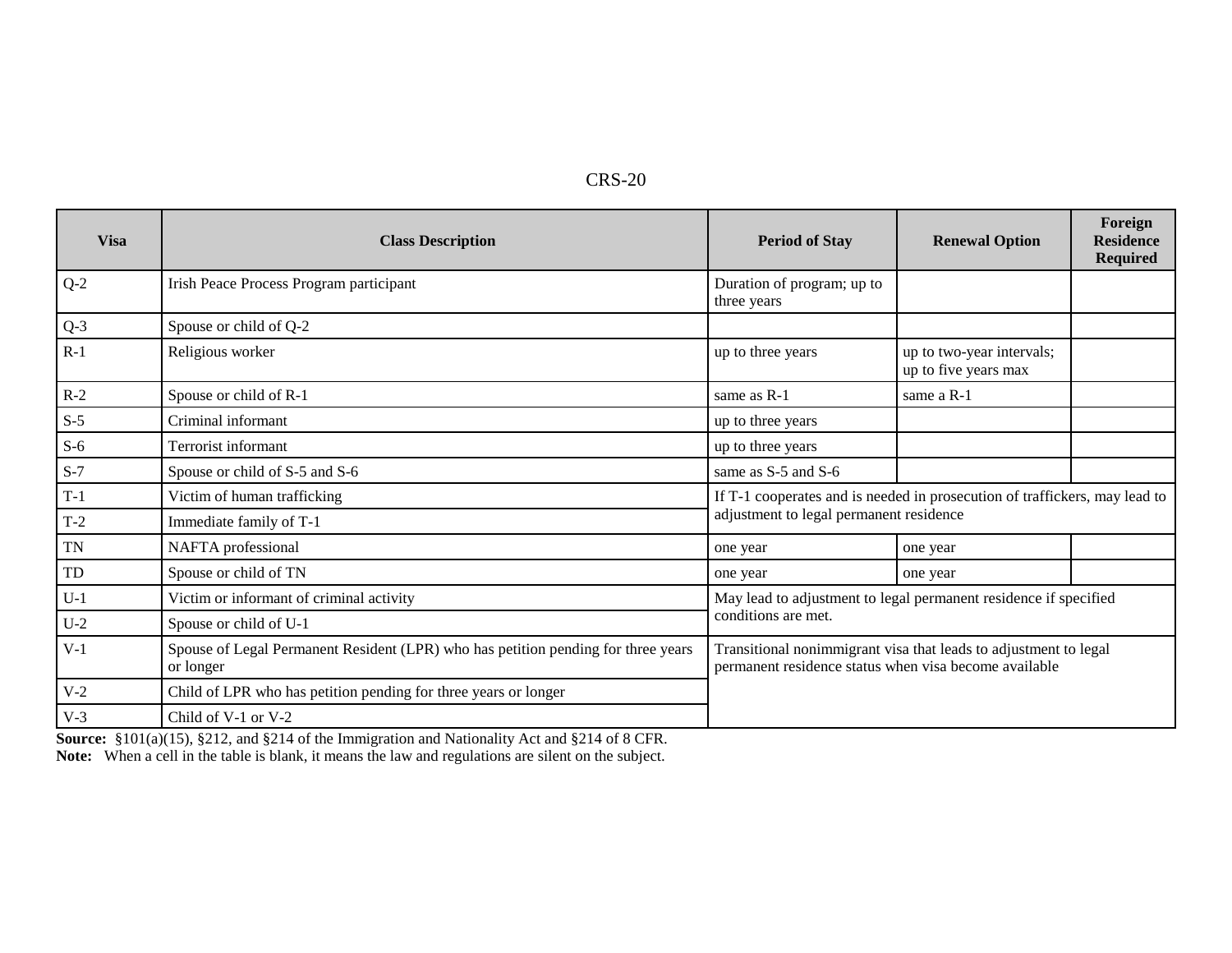| ם י<br>XS-20 |  |
|--------------|--|
|--------------|--|

| <b>Visa</b> | <b>Class Description</b>                                                                       | <b>Period of Stay</b>                                                                                                     | <b>Renewal Option</b>                             | Foreign<br><b>Residence</b><br><b>Required</b> |
|-------------|------------------------------------------------------------------------------------------------|---------------------------------------------------------------------------------------------------------------------------|---------------------------------------------------|------------------------------------------------|
| $Q-2$       | Irish Peace Process Program participant                                                        | Duration of program; up to<br>three years                                                                                 |                                                   |                                                |
| $Q-3$       | Spouse or child of Q-2                                                                         |                                                                                                                           |                                                   |                                                |
| $R-1$       | Religious worker                                                                               | up to three years                                                                                                         | up to two-year intervals;<br>up to five years max |                                                |
| $R-2$       | Spouse or child of R-1                                                                         | same as R-1                                                                                                               | same a R-1                                        |                                                |
| $S-5$       | Criminal informant                                                                             | up to three years                                                                                                         |                                                   |                                                |
| $S-6$       | Terrorist informant                                                                            | up to three years                                                                                                         |                                                   |                                                |
| $S-7$       | Spouse or child of S-5 and S-6                                                                 | same as S-5 and S-6                                                                                                       |                                                   |                                                |
| $T-1$       | Victim of human trafficking                                                                    | If T-1 cooperates and is needed in prosecution of traffickers, may lead to                                                |                                                   |                                                |
| $T-2$       | Immediate family of T-1                                                                        | adjustment to legal permanent residence                                                                                   |                                                   |                                                |
| <b>TN</b>   | NAFTA professional                                                                             | one year                                                                                                                  | one year                                          |                                                |
| TD          | Spouse or child of TN                                                                          | one year                                                                                                                  | one year                                          |                                                |
| $U-1$       | Victim or informant of criminal activity                                                       | May lead to adjustment to legal permanent residence if specified                                                          |                                                   |                                                |
| $U-2$       | Spouse or child of U-1                                                                         | conditions are met.                                                                                                       |                                                   |                                                |
| $V-1$       | Spouse of Legal Permanent Resident (LPR) who has petition pending for three years<br>or longer | Transitional nonimmigrant visa that leads to adjustment to legal<br>permanent residence status when visa become available |                                                   |                                                |
| $V-2$       | Child of LPR who has petition pending for three years or longer                                |                                                                                                                           |                                                   |                                                |
| $V-3$       | Child of V-1 or V-2                                                                            |                                                                                                                           |                                                   |                                                |

 **Source:** §101(a)(15), §212, and §214 of the Immigration and Nationality Act and §214 of 8 CFR. **Note:** When a cell in the table is blank, it means the law and regulations are silent on the subject.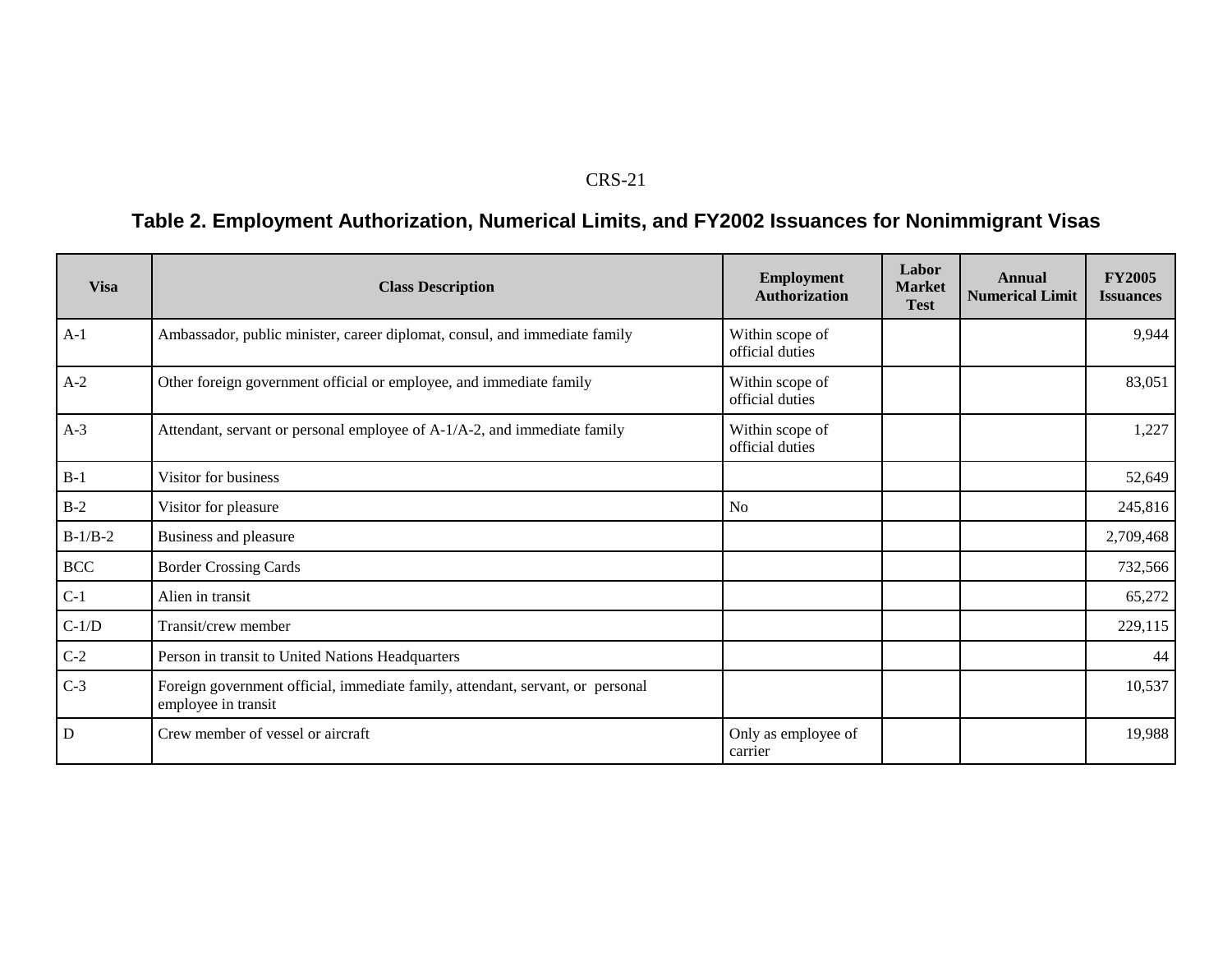#### CRS-21

# **Table 2. Employment Authorization, Numerical Limits, and FY2002 Issuances for Nonimmigrant Visas**

| <b>Visa</b> | <b>Class Description</b>                                                                              | <b>Employment</b><br><b>Authorization</b> | Labor<br><b>Market</b><br><b>Test</b> | Annual<br><b>Numerical Limit</b> | <b>FY2005</b><br><b>Issuances</b> |
|-------------|-------------------------------------------------------------------------------------------------------|-------------------------------------------|---------------------------------------|----------------------------------|-----------------------------------|
| $A-1$       | Ambassador, public minister, career diplomat, consul, and immediate family                            | Within scope of<br>official duties        |                                       |                                  | 9,944                             |
| $A-2$       | Other foreign government official or employee, and immediate family                                   | Within scope of<br>official duties        |                                       |                                  | 83,051                            |
| $A-3$       | Attendant, servant or personal employee of A-1/A-2, and immediate family                              | Within scope of<br>official duties        |                                       |                                  | 1,227                             |
| $B-1$       | Visitor for business                                                                                  |                                           |                                       |                                  | 52,649                            |
| $B-2$       | Visitor for pleasure                                                                                  | No                                        |                                       |                                  | 245,816                           |
| $B-1/B-2$   | Business and pleasure                                                                                 |                                           |                                       |                                  | 2,709,468                         |
| <b>BCC</b>  | <b>Border Crossing Cards</b>                                                                          |                                           |                                       |                                  | 732,566                           |
| $C-1$       | Alien in transit                                                                                      |                                           |                                       |                                  | 65,272                            |
| $C-1/D$     | Transit/crew member                                                                                   |                                           |                                       |                                  | 229,115                           |
| $C-2$       | Person in transit to United Nations Headquarters                                                      |                                           |                                       |                                  | 44                                |
| $C-3$       | Foreign government official, immediate family, attendant, servant, or personal<br>employee in transit |                                           |                                       |                                  | 10,537                            |
| $\mathbf D$ | Crew member of vessel or aircraft                                                                     | Only as employee of<br>carrier            |                                       |                                  | 19,988                            |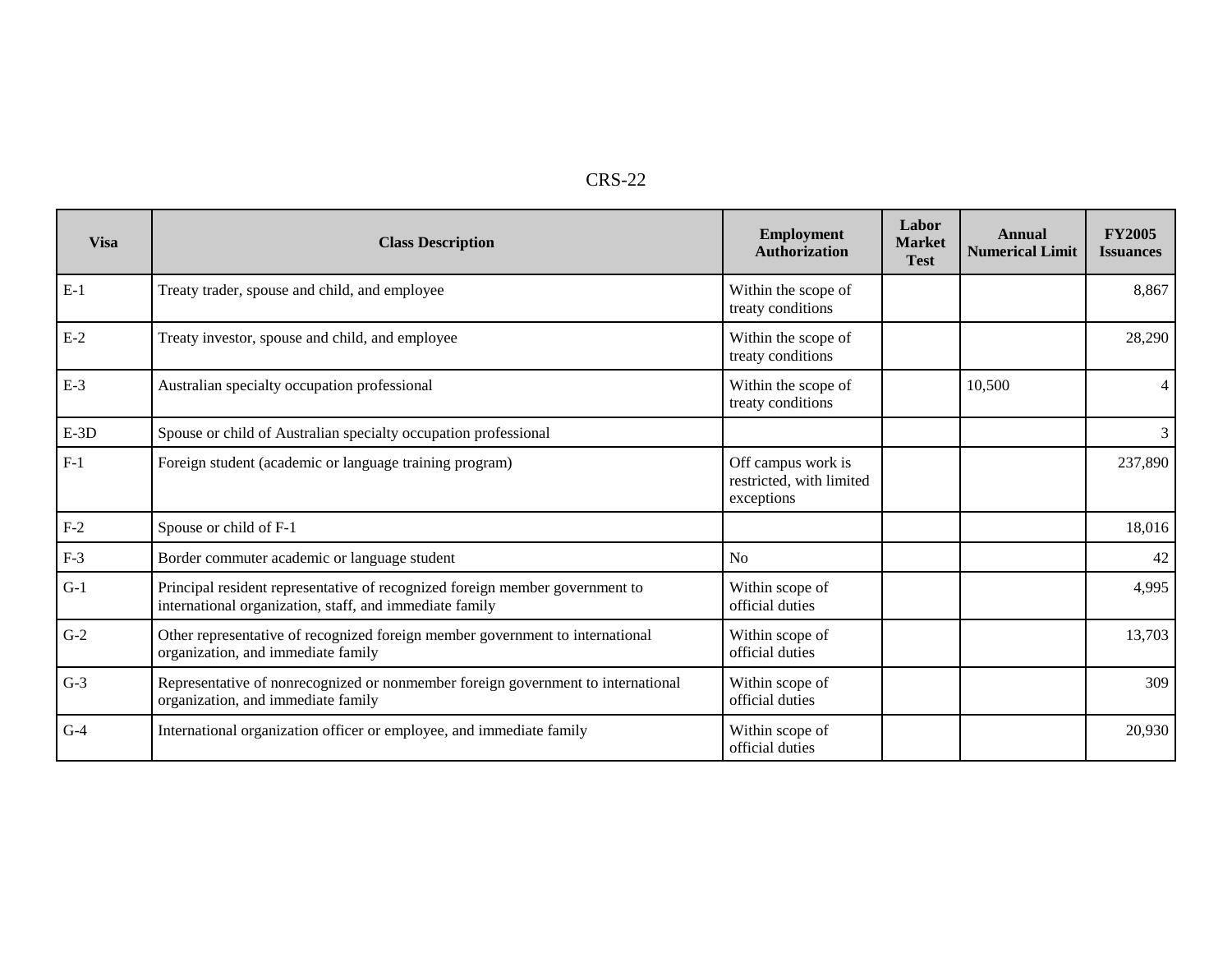|--|

| <b>Visa</b> | <b>Class Description</b>                                                                                                                | <b>Employment</b><br><b>Authorization</b>                    | Labor<br><b>Market</b><br><b>Test</b> | Annual<br><b>Numerical Limit</b> | <b>FY2005</b><br><b>Issuances</b> |
|-------------|-----------------------------------------------------------------------------------------------------------------------------------------|--------------------------------------------------------------|---------------------------------------|----------------------------------|-----------------------------------|
| $E-1$       | Treaty trader, spouse and child, and employee                                                                                           | Within the scope of<br>treaty conditions                     |                                       |                                  | 8,867                             |
| $E-2$       | Treaty investor, spouse and child, and employee                                                                                         | Within the scope of<br>treaty conditions                     |                                       |                                  | 28,290                            |
| $E-3$       | Australian specialty occupation professional                                                                                            | Within the scope of<br>treaty conditions                     |                                       | 10,500                           |                                   |
| $E-3D$      | Spouse or child of Australian specialty occupation professional                                                                         |                                                              |                                       |                                  | 3                                 |
| $F-1$       | Foreign student (academic or language training program)                                                                                 | Off campus work is<br>restricted, with limited<br>exceptions |                                       |                                  | 237,890                           |
| $F-2$       | Spouse or child of F-1                                                                                                                  |                                                              |                                       |                                  | 18,016                            |
| $F-3$       | Border commuter academic or language student                                                                                            | No                                                           |                                       |                                  | 42                                |
| $G-1$       | Principal resident representative of recognized foreign member government to<br>international organization, staff, and immediate family | Within scope of<br>official duties                           |                                       |                                  | 4,995                             |
| $G-2$       | Other representative of recognized foreign member government to international<br>organization, and immediate family                     | Within scope of<br>official duties                           |                                       |                                  | 13,703                            |
| $G-3$       | Representative of nonrecognized or nonmember foreign government to international<br>organization, and immediate family                  | Within scope of<br>official duties                           |                                       |                                  | 309                               |
| $G-4$       | International organization officer or employee, and immediate family                                                                    | Within scope of<br>official duties                           |                                       |                                  | 20,930                            |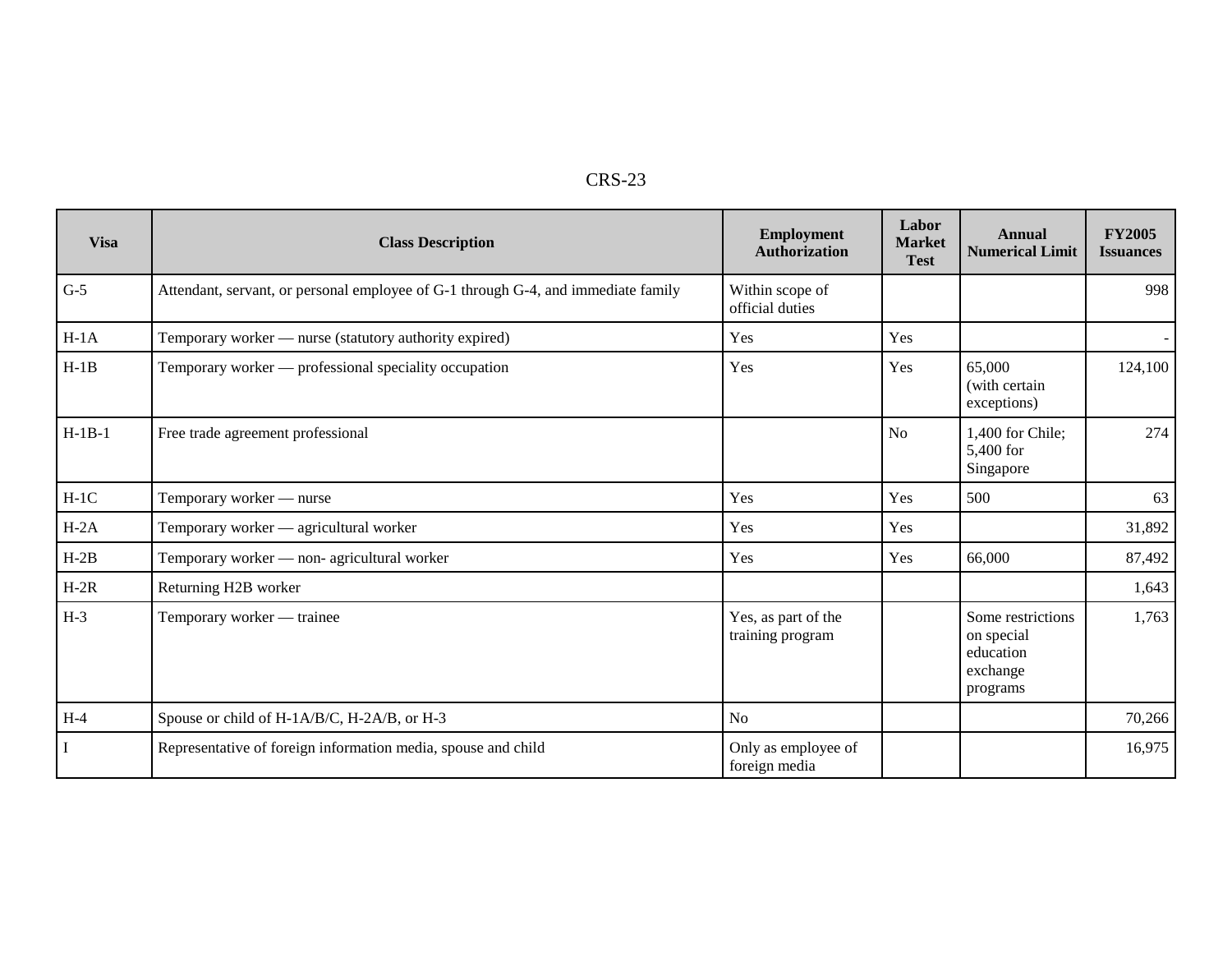| г |
|---|
|---|

| <b>Visa</b> | <b>Class Description</b>                                                          | <b>Employment</b><br><b>Authorization</b> | Labor<br><b>Market</b><br><b>Test</b> | Annual<br><b>Numerical Limit</b>                                     | <b>FY2005</b><br><b>Issuances</b> |
|-------------|-----------------------------------------------------------------------------------|-------------------------------------------|---------------------------------------|----------------------------------------------------------------------|-----------------------------------|
| $G-5$       | Attendant, servant, or personal employee of G-1 through G-4, and immediate family | Within scope of<br>official duties        |                                       |                                                                      | 998                               |
| $H-1A$      | Temporary worker — nurse (statutory authority expired)                            | Yes                                       | Yes                                   |                                                                      | $\sim$                            |
| $H-1B$      | Temporary worker — professional speciality occupation                             | Yes                                       | Yes                                   | 65,000<br>(with certain<br>exceptions)                               | 124,100                           |
| $H-1B-1$    | Free trade agreement professional                                                 |                                           | <b>No</b>                             | 1,400 for Chile;<br>5,400 for<br>Singapore                           | 274                               |
| $H-1C$      | Temporary worker - nurse                                                          | Yes                                       | Yes                                   | 500                                                                  | 63                                |
| $H-2A$      | Temporary worker - agricultural worker                                            | Yes                                       | Yes                                   |                                                                      | 31,892                            |
| $H-2B$      | Temporary worker - non- agricultural worker                                       | Yes                                       | Yes                                   | 66,000                                                               | 87,492                            |
| $H-2R$      | Returning H2B worker                                                              |                                           |                                       |                                                                      | 1,643                             |
| $H-3$       | Temporary worker — trainee                                                        | Yes, as part of the<br>training program   |                                       | Some restrictions<br>on special<br>education<br>exchange<br>programs | 1,763                             |
| $H-4$       | Spouse or child of H-1A/B/C, H-2A/B, or H-3                                       | N <sub>o</sub>                            |                                       |                                                                      | 70,266                            |
|             | Representative of foreign information media, spouse and child                     | Only as employee of<br>foreign media      |                                       |                                                                      | 16,975                            |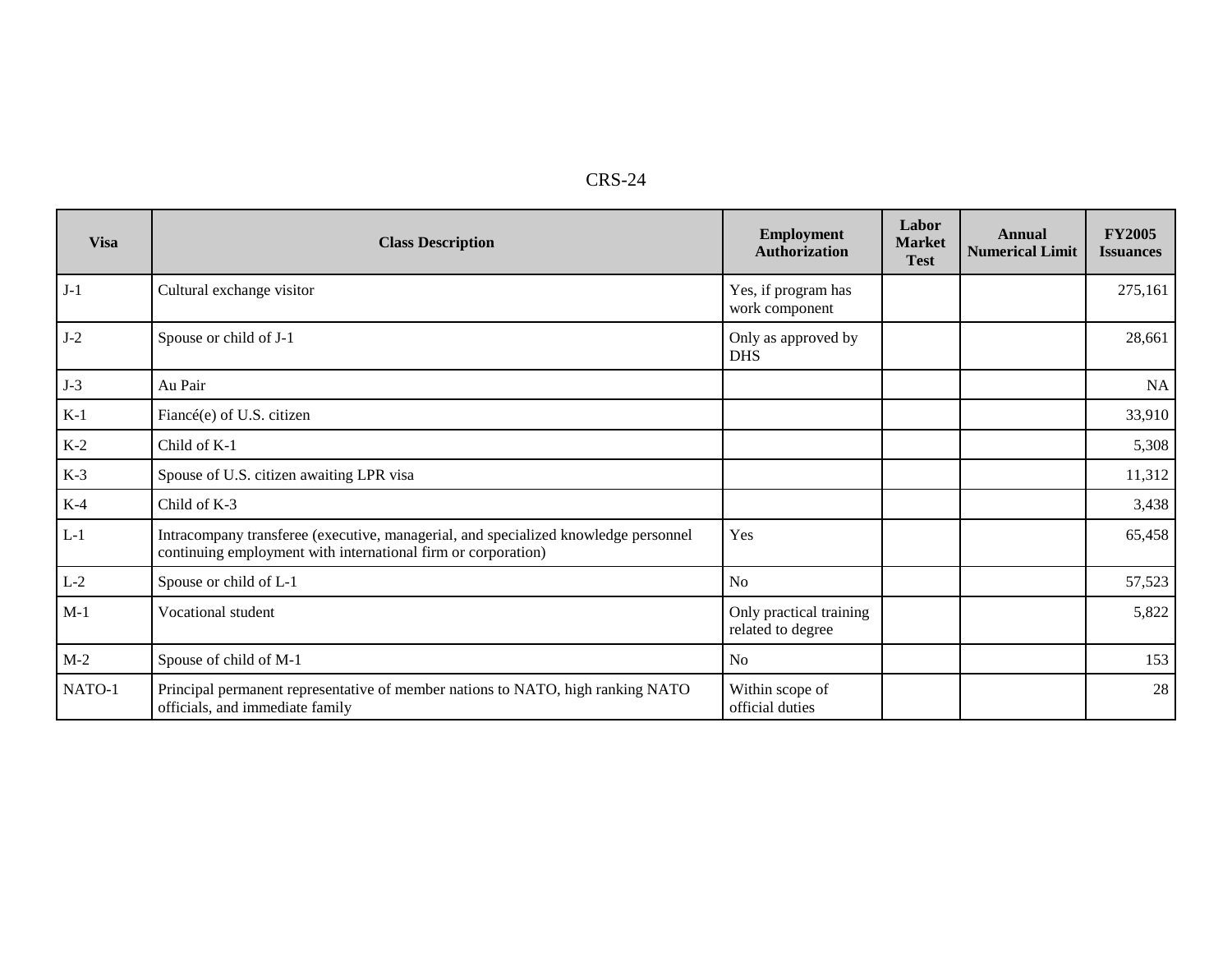| n.<br>.<br>- |
|--------------|
|--------------|

| <b>Visa</b> | <b>Class Description</b>                                                                                                                             | <b>Employment</b><br><b>Authorization</b>    | Labor<br><b>Market</b><br><b>Test</b> | Annual<br><b>Numerical Limit</b> | <b>FY2005</b><br><b>Issuances</b> |
|-------------|------------------------------------------------------------------------------------------------------------------------------------------------------|----------------------------------------------|---------------------------------------|----------------------------------|-----------------------------------|
| $J-1$       | Cultural exchange visitor                                                                                                                            | Yes, if program has<br>work component        |                                       |                                  | 275,161                           |
| $J-2$       | Spouse or child of J-1                                                                                                                               | Only as approved by<br><b>DHS</b>            |                                       |                                  | 28,661                            |
| $J-3$       | Au Pair                                                                                                                                              |                                              |                                       |                                  | NA                                |
| $K-1$       | Fiancé(e) of U.S. citizen                                                                                                                            |                                              |                                       |                                  | 33,910                            |
| $K-2$       | Child of K-1                                                                                                                                         |                                              |                                       |                                  | 5,308                             |
| $K-3$       | Spouse of U.S. citizen awaiting LPR visa                                                                                                             |                                              |                                       |                                  | 11,312                            |
| $K-4$       | Child of K-3                                                                                                                                         |                                              |                                       |                                  | 3,438                             |
| $L-1$       | Intracompany transferee (executive, managerial, and specialized knowledge personnel<br>continuing employment with international firm or corporation) | Yes                                          |                                       |                                  | 65,458                            |
| $L-2$       | Spouse or child of L-1                                                                                                                               | <b>No</b>                                    |                                       |                                  | 57,523                            |
| $M-1$       | Vocational student                                                                                                                                   | Only practical training<br>related to degree |                                       |                                  | 5,822                             |
| $M-2$       | Spouse of child of M-1                                                                                                                               | <b>No</b>                                    |                                       |                                  | 153                               |
| NATO-1      | Principal permanent representative of member nations to NATO, high ranking NATO<br>officials, and immediate family                                   | Within scope of<br>official duties           |                                       |                                  | 28                                |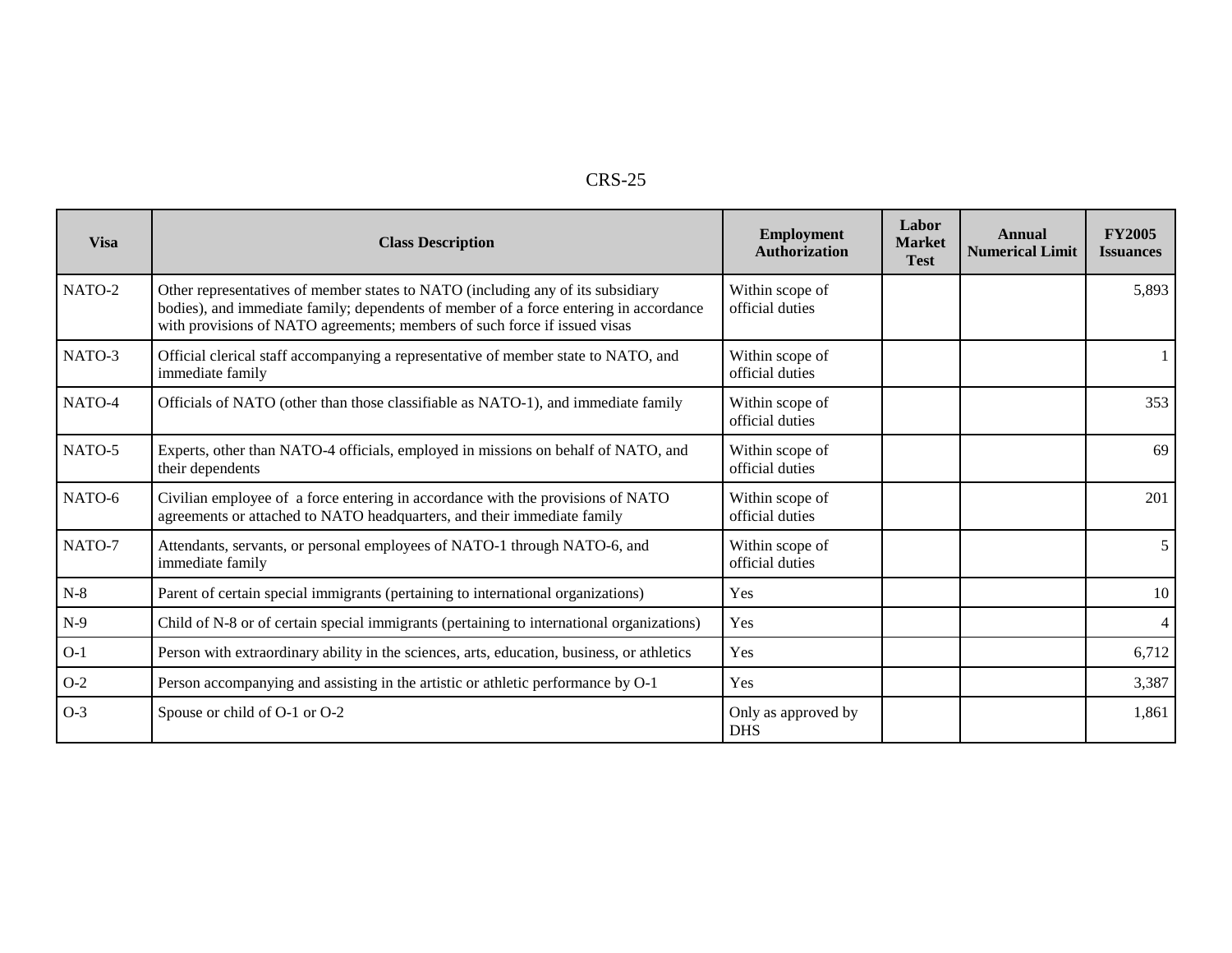| п. |  |
|----|--|
|----|--|

| <b>Visa</b> | <b>Class Description</b>                                                                                                                                                                                                                              | <b>Employment</b><br>Authorization | Labor<br><b>Market</b><br><b>Test</b> | Annual<br><b>Numerical Limit</b> | <b>FY2005</b><br><b>Issuances</b> |
|-------------|-------------------------------------------------------------------------------------------------------------------------------------------------------------------------------------------------------------------------------------------------------|------------------------------------|---------------------------------------|----------------------------------|-----------------------------------|
| NATO-2      | Other representatives of member states to NATO (including any of its subsidiary<br>bodies), and immediate family; dependents of member of a force entering in accordance<br>with provisions of NATO agreements; members of such force if issued visas | Within scope of<br>official duties |                                       |                                  | 5,893                             |
| NATO-3      | Official clerical staff accompanying a representative of member state to NATO, and<br>immediate family                                                                                                                                                | Within scope of<br>official duties |                                       |                                  |                                   |
| NATO-4      | Officials of NATO (other than those classifiable as NATO-1), and immediate family                                                                                                                                                                     | Within scope of<br>official duties |                                       |                                  | 353                               |
| NATO-5      | Experts, other than NATO-4 officials, employed in missions on behalf of NATO, and<br>their dependents                                                                                                                                                 | Within scope of<br>official duties |                                       |                                  | 69                                |
| NATO-6      | Civilian employee of a force entering in accordance with the provisions of NATO<br>agreements or attached to NATO headquarters, and their immediate family                                                                                            | Within scope of<br>official duties |                                       |                                  | 201                               |
| NATO-7      | Attendants, servants, or personal employees of NATO-1 through NATO-6, and<br>immediate family                                                                                                                                                         | Within scope of<br>official duties |                                       |                                  | 5 <sup>1</sup>                    |
| $N-8$       | Parent of certain special immigrants (pertaining to international organizations)                                                                                                                                                                      | Yes                                |                                       |                                  | 10 <sup>1</sup>                   |
| $N-9$       | Child of N-8 or of certain special immigrants (pertaining to international organizations)                                                                                                                                                             | Yes                                |                                       |                                  | 4 <sup>1</sup>                    |
| $O-1$       | Person with extraordinary ability in the sciences, arts, education, business, or athletics                                                                                                                                                            | Yes                                |                                       |                                  | 6,712                             |
| $O-2$       | Person accompanying and assisting in the artistic or athletic performance by O-1                                                                                                                                                                      | Yes                                |                                       |                                  | 3,387                             |
| $O-3$       | Spouse or child of O-1 or O-2                                                                                                                                                                                                                         | Only as approved by<br><b>DHS</b>  |                                       |                                  | 1,861                             |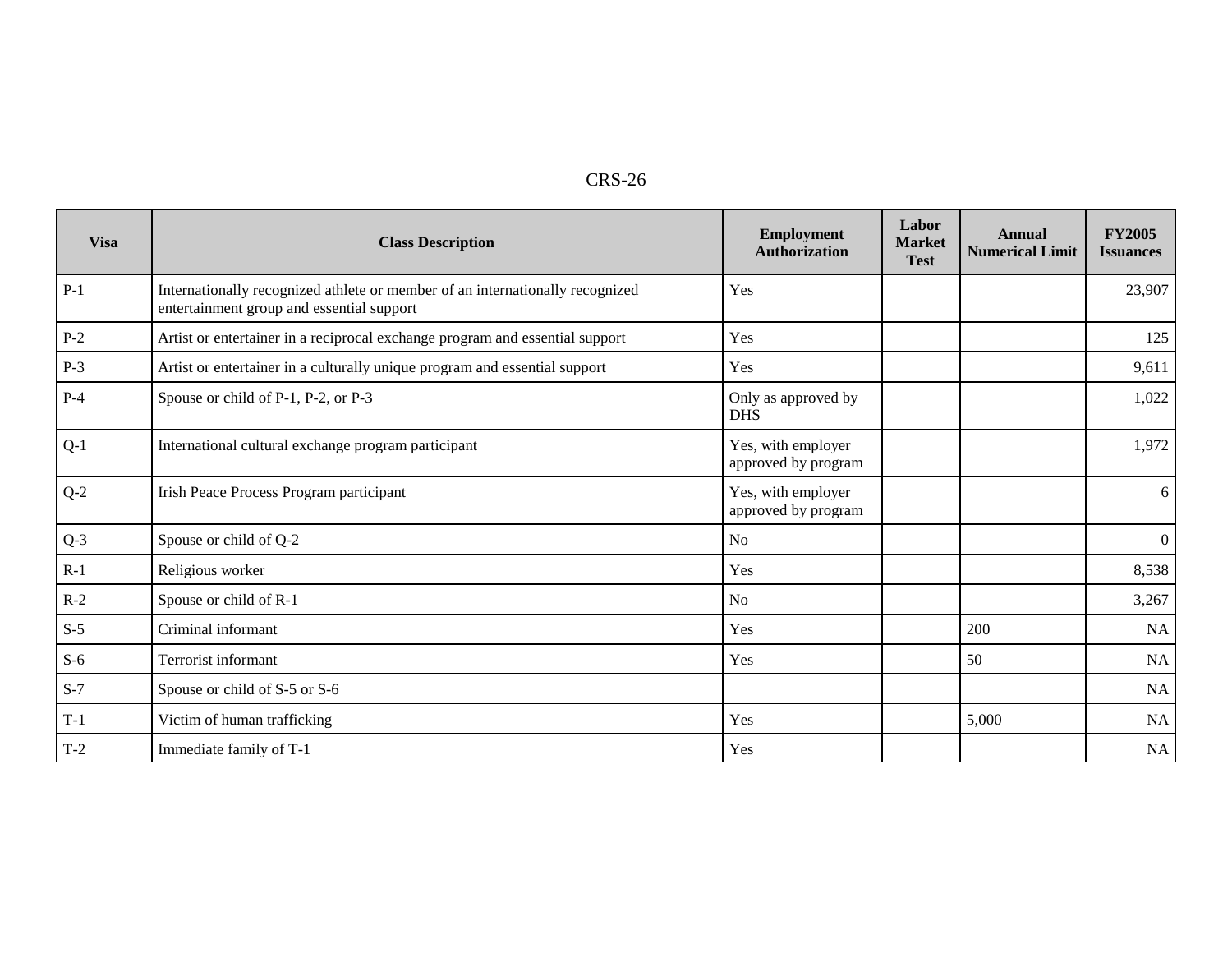| RS-26 |  |
|-------|--|
|-------|--|

| <b>Visa</b> | <b>Class Description</b>                                                                                                   | Employment<br>Authorization               | Labor<br><b>Market</b><br><b>Test</b> | Annual<br><b>Numerical Limit</b> | <b>FY2005</b><br><b>Issuances</b> |
|-------------|----------------------------------------------------------------------------------------------------------------------------|-------------------------------------------|---------------------------------------|----------------------------------|-----------------------------------|
| $P-1$       | Internationally recognized athlete or member of an internationally recognized<br>entertainment group and essential support | Yes                                       |                                       |                                  | 23,907                            |
| $P-2$       | Artist or entertainer in a reciprocal exchange program and essential support                                               | Yes                                       |                                       |                                  | 125                               |
| $P-3$       | Artist or entertainer in a culturally unique program and essential support                                                 | Yes                                       |                                       |                                  | 9,611                             |
| $P-4$       | Spouse or child of P-1, P-2, or P-3                                                                                        | Only as approved by<br><b>DHS</b>         |                                       |                                  | 1,022                             |
| $Q-1$       | International cultural exchange program participant                                                                        | Yes, with employer<br>approved by program |                                       |                                  | 1,972                             |
| $Q-2$       | Irish Peace Process Program participant                                                                                    | Yes, with employer<br>approved by program |                                       |                                  | 6 <sup>1</sup>                    |
| $Q-3$       | Spouse or child of Q-2                                                                                                     | <b>No</b>                                 |                                       |                                  | $\overline{0}$                    |
| $R-1$       | Religious worker                                                                                                           | Yes                                       |                                       |                                  | 8,538                             |
| $R-2$       | Spouse or child of R-1                                                                                                     | <b>No</b>                                 |                                       |                                  | 3,267                             |
| $S-5$       | Criminal informant                                                                                                         | Yes                                       |                                       | 200                              | NA                                |
| $S-6$       | Terrorist informant                                                                                                        | Yes                                       |                                       | 50                               | NA                                |
| $S-7$       | Spouse or child of S-5 or S-6                                                                                              |                                           |                                       |                                  | NA                                |
| $T-1$       | Victim of human trafficking                                                                                                | Yes                                       |                                       | 5,000                            | <b>NA</b>                         |
| $T-2$       | Immediate family of T-1                                                                                                    | Yes                                       |                                       |                                  | NA                                |